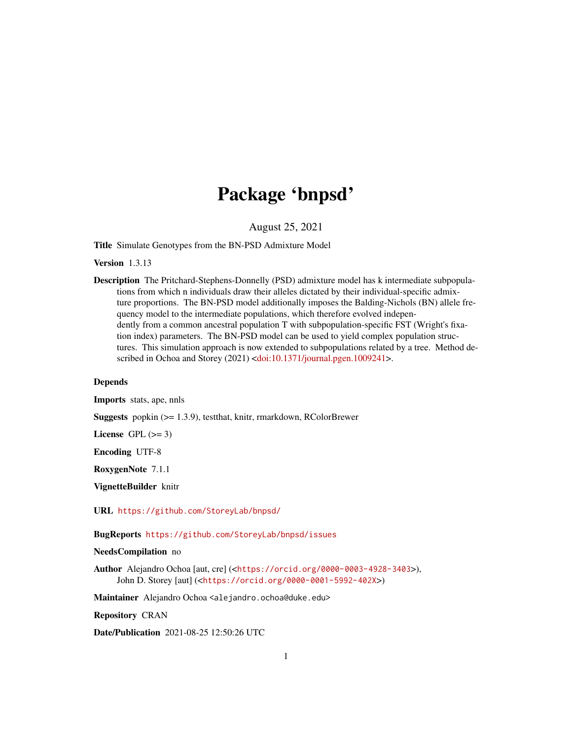# Package 'bnpsd'

August 25, 2021

<span id="page-0-0"></span>Title Simulate Genotypes from the BN-PSD Admixture Model

Version 1.3.13

Description The Pritchard-Stephens-Donnelly (PSD) admixture model has k intermediate subpopulations from which n individuals draw their alleles dictated by their individual-specific admixture proportions. The BN-PSD model additionally imposes the Balding-Nichols (BN) allele frequency model to the intermediate populations, which therefore evolved independently from a common ancestral population T with subpopulation-specific FST (Wright's fixation index) parameters. The BN-PSD model can be used to yield complex population structures. This simulation approach is now extended to subpopulations related by a tree. Method de-scribed in Ochoa and Storey (2021) [<doi:10.1371/journal.pgen.1009241>](https://doi.org/10.1371/journal.pgen.1009241).

# Depends

Imports stats, ape, nnls

Suggests popkin (>= 1.3.9), testthat, knitr, rmarkdown, RColorBrewer

License GPL  $(>= 3)$ 

Encoding UTF-8

RoxygenNote 7.1.1

VignetteBuilder knitr

URL <https://github.com/StoreyLab/bnpsd/>

BugReports <https://github.com/StoreyLab/bnpsd/issues>

# NeedsCompilation no

Author Alejandro Ochoa [aut, cre] (<<https://orcid.org/0000-0003-4928-3403>>), John D. Storey [aut] (<<https://orcid.org/0000-0001-5992-402X>>)

Maintainer Alejandro Ochoa <alejandro.ochoa@duke.edu>

Repository CRAN

Date/Publication 2021-08-25 12:50:26 UTC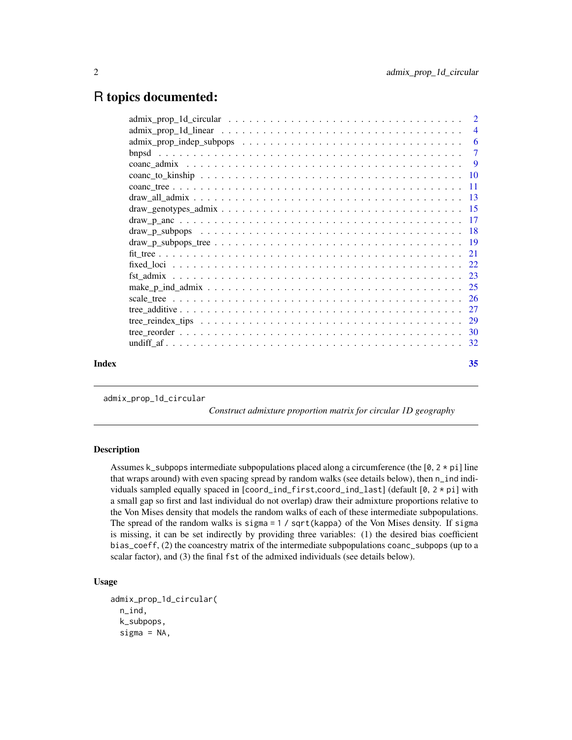# <span id="page-1-0"></span>R topics documented:

| Index |  | 35 |
|-------|--|----|

admix\_prop\_1d\_circular

*Construct admixture proportion matrix for circular 1D geography*

# Description

Assumes k\_subpops intermediate subpopulations placed along a circumference (the [0, 2  $\star$  pi] line that wraps around) with even spacing spread by random walks (see details below), then n\_ind individuals sampled equally spaced in [coord\_ind\_first,coord\_ind\_last] (default [0, 2 \* pi] with a small gap so first and last individual do not overlap) draw their admixture proportions relative to the Von Mises density that models the random walks of each of these intermediate subpopulations. The spread of the random walks is sigma = 1 / sqrt(kappa) of the Von Mises density. If sigma is missing, it can be set indirectly by providing three variables: (1) the desired bias coefficient bias\_coeff, (2) the coancestry matrix of the intermediate subpopulations coanc\_subpops (up to a scalar factor), and (3) the final fst of the admixed individuals (see details below).

# Usage

```
admix_prop_1d_circular(
 n_ind,
  k_subpops,
  signa = NA,
```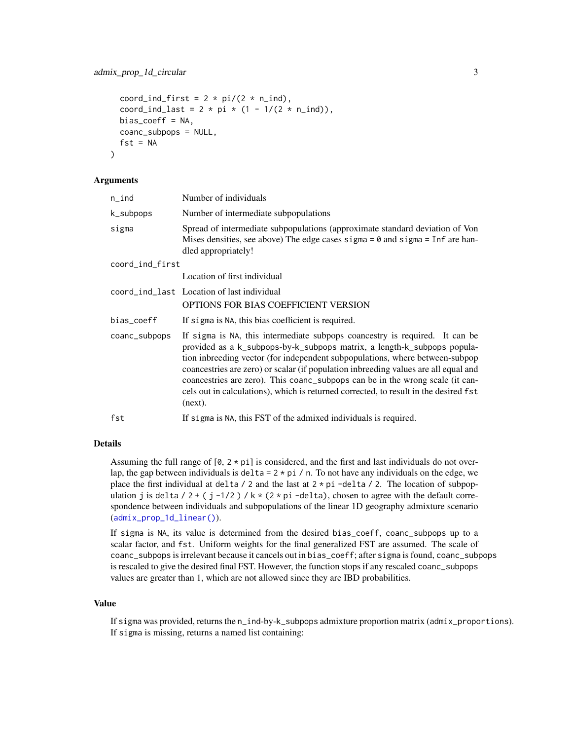```
coord_ind_first = 2 * pi/(2 * n\_ind),
coord_ind_last = 2 * pi * (1 - 1/(2 * n\_ind)),
bias\_coeff = NA,
coanc_subpops = NULL,
fst = NA
```
# Arguments

)

| n_ind           | Number of individuals                                                                                                                                                                                                                                                                                                                                                                                                                                                                                               |
|-----------------|---------------------------------------------------------------------------------------------------------------------------------------------------------------------------------------------------------------------------------------------------------------------------------------------------------------------------------------------------------------------------------------------------------------------------------------------------------------------------------------------------------------------|
| k_subpops       | Number of intermediate subpopulations                                                                                                                                                                                                                                                                                                                                                                                                                                                                               |
| sigma           | Spread of intermediate subpopulations (approximate standard deviation of Von<br>Mises densities, see above) The edge cases sigma = $\theta$ and sigma = Inf are han-<br>dled appropriately!                                                                                                                                                                                                                                                                                                                         |
| coord_ind_first |                                                                                                                                                                                                                                                                                                                                                                                                                                                                                                                     |
|                 | Location of first individual                                                                                                                                                                                                                                                                                                                                                                                                                                                                                        |
|                 | coord_ind_last Location of last individual<br>OPTIONS FOR BIAS COEFFICIENT VERSION                                                                                                                                                                                                                                                                                                                                                                                                                                  |
| bias_coeff      | If sigma is NA, this bias coefficient is required.                                                                                                                                                                                                                                                                                                                                                                                                                                                                  |
| coanc_subpops   | If sigma is NA, this intermediate subpops coancestry is required. It can be<br>provided as a k_subpops-by-k_subpops matrix, a length-k_subpops popula-<br>tion inbreeding vector (for independent subpopulations, where between-subpop<br>coancestries are zero) or scalar (if population inbreeding values are all equal and<br>coancestries are zero). This coanc_subpops can be in the wrong scale (it can-<br>cels out in calculations), which is returned corrected, to result in the desired fst<br>$(new)$ . |
| fst             | If sigma is NA, this FST of the admixed individuals is required.                                                                                                                                                                                                                                                                                                                                                                                                                                                    |

## Details

Assuming the full range of  $[0, 2 \times \text{pi}]$  is considered, and the first and last individuals do not overlap, the gap between individuals is delta =  $2 \times pi$  / n. To not have any individuals on the edge, we place the first individual at delta / 2 and the last at  $2 \times pi$  -delta / 2. The location of subpopulation j is delta / 2 + ( j -1/2 ) /  $k \times (2 \times pi$  -delta), chosen to agree with the default correspondence between individuals and subpopulations of the linear 1D geography admixture scenario ([admix\\_prop\\_1d\\_linear\(\)](#page-3-1)).

If sigma is NA, its value is determined from the desired bias\_coeff, coanc\_subpops up to a scalar factor, and fst. Uniform weights for the final generalized FST are assumed. The scale of coanc\_subpops is irrelevant because it cancels out in bias\_coeff; after sigma is found, coanc\_subpops is rescaled to give the desired final FST. However, the function stops if any rescaled coanc\_subpops values are greater than 1, which are not allowed since they are IBD probabilities.

#### Value

If sigma was provided, returns the n\_ind-by-k\_subpops admixture proportion matrix (admix\_proportions). If sigma is missing, returns a named list containing: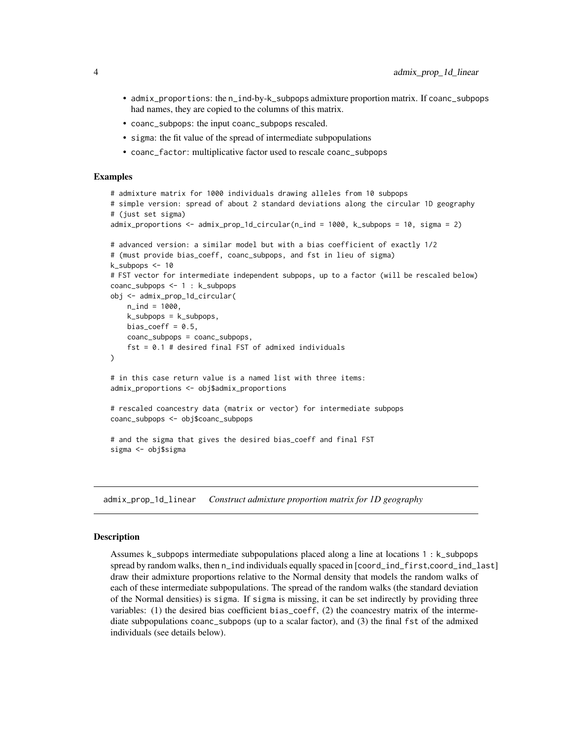- <span id="page-3-0"></span>• admix\_proportions: the n\_ind-by-k\_subpops admixture proportion matrix. If coanc\_subpops had names, they are copied to the columns of this matrix.
- coanc\_subpops: the input coanc\_subpops rescaled.
- sigma: the fit value of the spread of intermediate subpopulations
- coanc\_factor: multiplicative factor used to rescale coanc\_subpops

#### Examples

```
# admixture matrix for 1000 individuals drawing alleles from 10 subpops
# simple version: spread of about 2 standard deviations along the circular 1D geography
# (just set sigma)
admix_proportions <- admix_prop_1d_circular(n_ind = 1000, k_subpops = 10, sigma = 2)
# advanced version: a similar model but with a bias coefficient of exactly 1/2
# (must provide bias_coeff, coanc_subpops, and fst in lieu of sigma)
k_subpops <- 10
# FST vector for intermediate independent subpops, up to a factor (will be rescaled below)
coanc_subpops <- 1 : k_subpops
obj <- admix_prop_1d_circular(
   n ind = 1000.
   k_subpops = k_subpops,
   bias_coeff = 0.5,
   coanc_subpops = coanc_subpops,
    fst = 0.1 # desired final FST of admixed individuals
)
# in this case return value is a named list with three items:
admix_proportions <- obj$admix_proportions
# rescaled coancestry data (matrix or vector) for intermediate subpops
coanc_subpops <- obj$coanc_subpops
# and the sigma that gives the desired bias_coeff and final FST
sigma <- obj$sigma
```
<span id="page-3-1"></span>admix\_prop\_1d\_linear *Construct admixture proportion matrix for 1D geography*

#### **Description**

Assumes k\_subpops intermediate subpopulations placed along a line at locations 1 : k\_subpops spread by random walks, then n\_ind individuals equally spaced in [coord\_ind\_first,coord\_ind\_last] draw their admixture proportions relative to the Normal density that models the random walks of each of these intermediate subpopulations. The spread of the random walks (the standard deviation of the Normal densities) is sigma. If sigma is missing, it can be set indirectly by providing three variables: (1) the desired bias coefficient bias\_coeff, (2) the coancestry matrix of the intermediate subpopulations coanc\_subpops (up to a scalar factor), and (3) the final fst of the admixed individuals (see details below).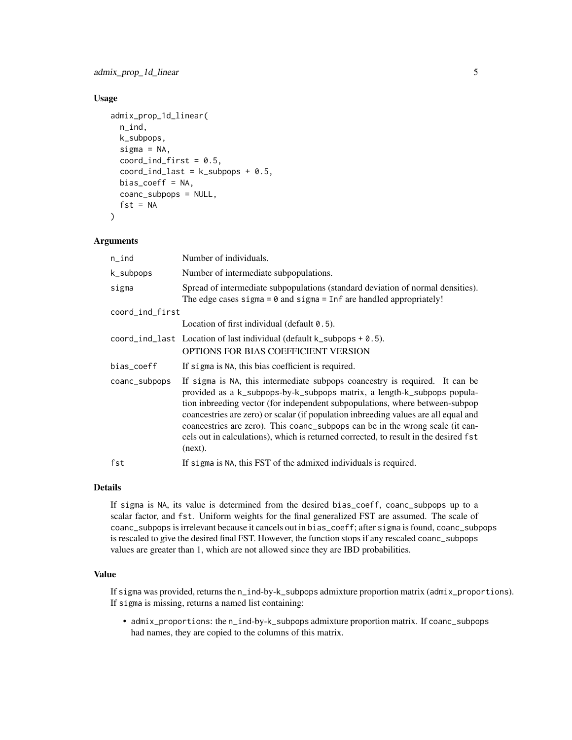# Usage

```
admix_prop_1d_linear(
 n_ind,
 k_subpops,
  sigma = NA,
  coord\_ind\_first = 0.5,
  coord\_ind\_last = k\_subpops + 0.5,
 bias_coeff = NA,
  coanc_subpops = NULL,
  fst = NA)
```
# Arguments

| n_ind           | Number of individuals.                                                                                                                                                                                                                                                                                                                                                                                                                                                                                              |
|-----------------|---------------------------------------------------------------------------------------------------------------------------------------------------------------------------------------------------------------------------------------------------------------------------------------------------------------------------------------------------------------------------------------------------------------------------------------------------------------------------------------------------------------------|
| k_subpops       | Number of intermediate subpopulations.                                                                                                                                                                                                                                                                                                                                                                                                                                                                              |
| sigma           | Spread of intermediate subpopulations (standard deviation of normal densities).<br>The edge cases sigma = $\theta$ and sigma = Inf are handled appropriately!                                                                                                                                                                                                                                                                                                                                                       |
| coord_ind_first |                                                                                                                                                                                                                                                                                                                                                                                                                                                                                                                     |
|                 | Location of first individual (default $0.5$ ).                                                                                                                                                                                                                                                                                                                                                                                                                                                                      |
|                 | coord_ind_last Location of last individual (default $k$ _subpops + 0.5).<br>OPTIONS FOR BIAS COEFFICIENT VERSION                                                                                                                                                                                                                                                                                                                                                                                                    |
| bias_coeff      | If sigma is NA, this bias coefficient is required.                                                                                                                                                                                                                                                                                                                                                                                                                                                                  |
| coanc_subpops   | If sigma is NA, this intermediate subpops coancestry is required. It can be<br>provided as a k_subpops-by-k_subpops matrix, a length-k_subpops popula-<br>tion inbreeding vector (for independent subpopulations, where between-subpop<br>coancestries are zero) or scalar (if population inbreeding values are all equal and<br>coancestries are zero). This coanc_subpops can be in the wrong scale (it can-<br>cels out in calculations), which is returned corrected, to result in the desired fst<br>$(new)$ . |
| fst             | If sigma is NA, this FST of the admixed individuals is required.                                                                                                                                                                                                                                                                                                                                                                                                                                                    |

#### Details

If sigma is NA, its value is determined from the desired bias\_coeff, coanc\_subpops up to a scalar factor, and fst. Uniform weights for the final generalized FST are assumed. The scale of coanc\_subpops is irrelevant because it cancels out in bias\_coeff; after sigma is found, coanc\_subpops is rescaled to give the desired final FST. However, the function stops if any rescaled coanc\_subpops values are greater than 1, which are not allowed since they are IBD probabilities.

# Value

If sigma was provided, returns the n\_ind-by-k\_subpops admixture proportion matrix (admix\_proportions). If sigma is missing, returns a named list containing:

• admix\_proportions: the n\_ind-by-k\_subpops admixture proportion matrix. If coanc\_subpops had names, they are copied to the columns of this matrix.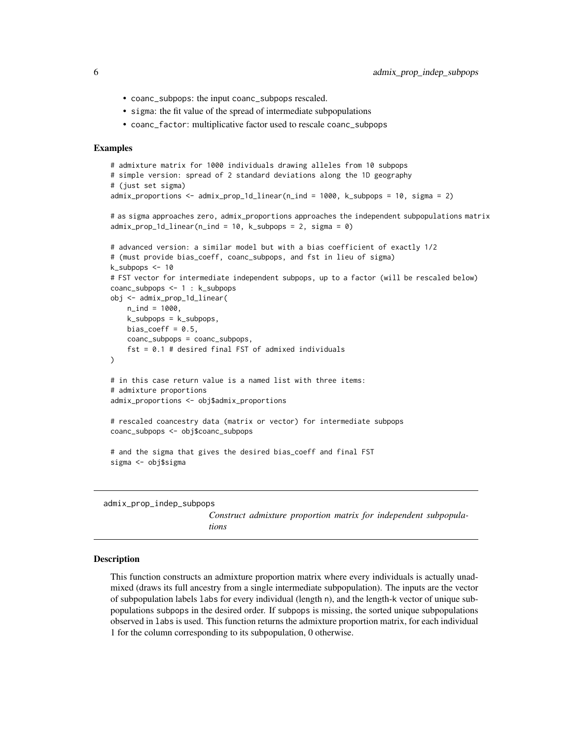- coanc\_subpops: the input coanc\_subpops rescaled.
- sigma: the fit value of the spread of intermediate subpopulations
- coanc\_factor: multiplicative factor used to rescale coanc\_subpops

# Examples

```
# admixture matrix for 1000 individuals drawing alleles from 10 subpops
# simple version: spread of 2 standard deviations along the 1D geography
# (just set sigma)
admix_proportions <- admix_prop_1d_linear(n_ind = 1000, k_subpops = 10, sigma = 2)
# as sigma approaches zero, admix_proportions approaches the independent subpopulations matrix
admix\_prop_1d_1inear(n_1nd = 10, k_subpop = 2, sigma = 0)# advanced version: a similar model but with a bias coefficient of exactly 1/2
# (must provide bias_coeff, coanc_subpops, and fst in lieu of sigma)
k_subpops <- 10
# FST vector for intermediate independent subpops, up to a factor (will be rescaled below)
coanc_subpops <- 1 : k_subpops
obj <- admix_prop_1d_linear(
   n_ind = 1000,
   k_subpops = k_subpops,
   bias_coeff = 0.5,
   coanc_subpops = coanc_subpops,
    fst = 0.1 # desired final FST of admixed individuals
)
# in this case return value is a named list with three items:
# admixture proportions
admix_proportions <- obj$admix_proportions
# rescaled coancestry data (matrix or vector) for intermediate subpops
coanc_subpops <- obj$coanc_subpops
# and the sigma that gives the desired bias_coeff and final FST
sigma <- obj$sigma
```
admix\_prop\_indep\_subpops

*Construct admixture proportion matrix for independent subpopulations*

#### Description

This function constructs an admixture proportion matrix where every individuals is actually unadmixed (draws its full ancestry from a single intermediate subpopulation). The inputs are the vector of subpopulation labels labs for every individual (length n), and the length-k vector of unique subpopulations subpops in the desired order. If subpops is missing, the sorted unique subpopulations observed in labs is used. This function returns the admixture proportion matrix, for each individual 1 for the column corresponding to its subpopulation, 0 otherwise.

<span id="page-5-0"></span>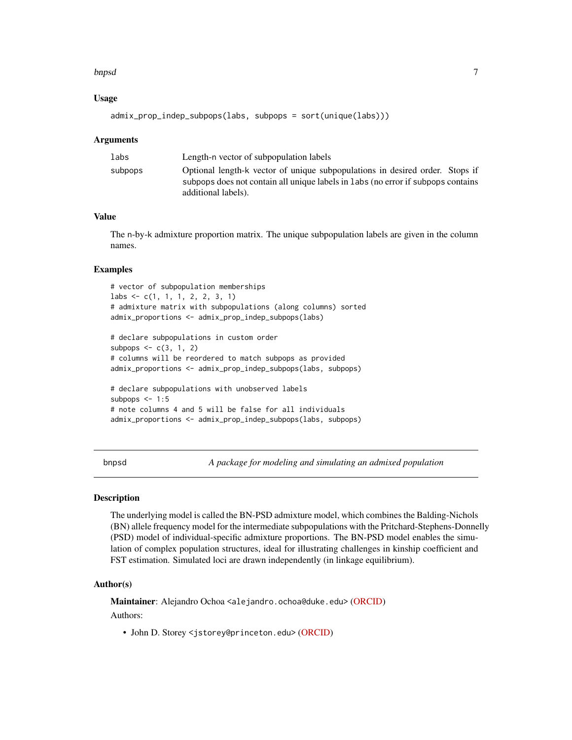#### <span id="page-6-0"></span>bnpsd 7

# Usage

```
admix\_prop\_indep\_subpops(labs, subpops = sort(unique(labs)))
```
#### Arguments

| labs    | Length-n vector of subpopulation labels                                          |
|---------|----------------------------------------------------------------------------------|
| subpops | Optional length-k vector of unique subpopulations in desired order. Stops if     |
|         | subpops does not contain all unique labels in labs (no error if subpops contains |
|         | additional labels).                                                              |

# Value

The n-by-k admixture proportion matrix. The unique subpopulation labels are given in the column names.

# Examples

```
# vector of subpopulation memberships
labs <- c(1, 1, 1, 2, 2, 3, 1)
# admixture matrix with subpopulations (along columns) sorted
admix_proportions <- admix_prop_indep_subpops(labs)
# declare subpopulations in custom order
```

```
subpops \leq -c(3, 1, 2)# columns will be reordered to match subpops as provided
admix_proportions <- admix_prop_indep_subpops(labs, subpops)
# declare subpopulations with unobserved labels
```

```
subpops \leq -1:5# note columns 4 and 5 will be false for all individuals
admix_proportions <- admix_prop_indep_subpops(labs, subpops)
```
bnpsd *A package for modeling and simulating an admixed population*

#### Description

The underlying model is called the BN-PSD admixture model, which combines the Balding-Nichols (BN) allele frequency model for the intermediate subpopulations with the Pritchard-Stephens-Donnelly (PSD) model of individual-specific admixture proportions. The BN-PSD model enables the simulation of complex population structures, ideal for illustrating challenges in kinship coefficient and FST estimation. Simulated loci are drawn independently (in linkage equilibrium).

# Author(s)

Maintainer: Alejandro Ochoa <alejandro.ochoa@duke.edu> [\(ORCID\)](https://orcid.org/0000-0003-4928-3403)

Authors:

• John D. Storey <jstorey@princeton.edu> [\(ORCID\)](https://orcid.org/0000-0001-5992-402X)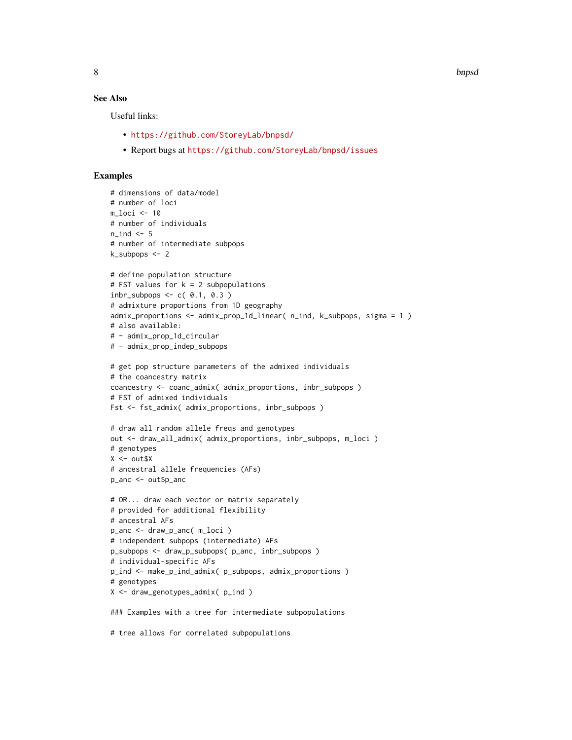8 bnpsd and the state of the state of the state of the state of the state of the state of the state of the state of the state of the state of the state of the state of the state of the state of the state of the state of th

# See Also

Useful links:

- <https://github.com/StoreyLab/bnpsd/>
- Report bugs at <https://github.com/StoreyLab/bnpsd/issues>

```
# dimensions of data/model
# number of loci
m loci < -10# number of individuals
n\_ind < -5# number of intermediate subpops
k_subpops <- 2
# define population structure
# FST values for k = 2 subpopulations
inbr\_subpops \leq c( 0.1, 0.3 )# admixture proportions from 1D geography
admix_proportions \leq admix_prop_1d_linear( n_ind, k_subpops, sigma = 1)
# also available:
# - admix_prop_1d_circular
# - admix_prop_indep_subpops
# get pop structure parameters of the admixed individuals
# the coancestry matrix
coancestry <- coanc_admix( admix_proportions, inbr_subpops )
# FST of admixed individuals
Fst <- fst_admix( admix_proportions, inbr_subpops )
# draw all random allele freqs and genotypes
out <- draw_all_admix( admix_proportions, inbr_subpops, m_loci )
# genotypes
X <- out$X
# ancestral allele frequencies (AFs)
p_anc <- out$p_anc
# OR... draw each vector or matrix separately
# provided for additional flexibility
# ancestral AFs
p_anc <- draw_p_anc( m_loci )
# independent subpops (intermediate) AFs
p_subpops <- draw_p_subpops( p_anc, inbr_subpops )
# individual-specific AFs
p_ind <- make_p_ind_admix( p_subpops, admix_proportions )
# genotypes
X <- draw_genotypes_admix( p_ind )
### Examples with a tree for intermediate subpopulations
# tree allows for correlated subpopulations
```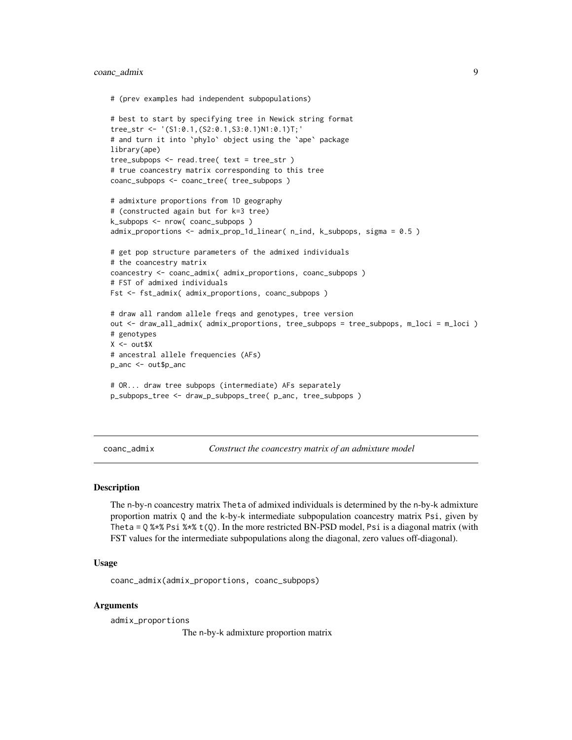# <span id="page-8-0"></span>coanc\_admix 9

```
# (prev examples had independent subpopulations)
# best to start by specifying tree in Newick string format
tree_str <- '(S1:0.1,(S2:0.1,S3:0.1)N1:0.1)T;'
# and turn it into `phylo` object using the `ape` package
library(ape)
tree_subpops <- read.tree( text = tree_str )
# true coancestry matrix corresponding to this tree
coanc_subpops <- coanc_tree( tree_subpops )
# admixture proportions from 1D geography
# (constructed again but for k=3 tree)
k_subpops <- nrow( coanc_subpops )
admix_proportions <- admix_prop_1d_linear( n_ind, k_subpops, sigma = 0.5 )
# get pop structure parameters of the admixed individuals
# the coancestry matrix
coancestry <- coanc_admix( admix_proportions, coanc_subpops )
# FST of admixed individuals
Fst <- fst_admix( admix_proportions, coanc_subpops )
# draw all random allele freqs and genotypes, tree version
out <- draw_all_admix( admix_proportions, tree_subpops = tree_subpops, m_loci = m_loci )
# genotypes
X < - out $X
# ancestral allele frequencies (AFs)
p_anc <- out$p_anc
# OR... draw tree subpops (intermediate) AFs separately
p_subpops_tree <- draw_p_subpops_tree( p_anc, tree_subpops )
```
<span id="page-8-1"></span>coanc\_admix *Construct the coancestry matrix of an admixture model*

#### **Description**

The n-by-n coancestry matrix Theta of admixed individuals is determined by the n-by-k admixture proportion matrix Q and the k-by-k intermediate subpopulation coancestry matrix Psi, given by Theta =  $Q$ %\*% Psi %\*% t(Q). In the more restricted BN-PSD model, Psi is a diagonal matrix (with FST values for the intermediate subpopulations along the diagonal, zero values off-diagonal).

# Usage

coanc\_admix(admix\_proportions, coanc\_subpops)

### Arguments

admix\_proportions

The n-by-k admixture proportion matrix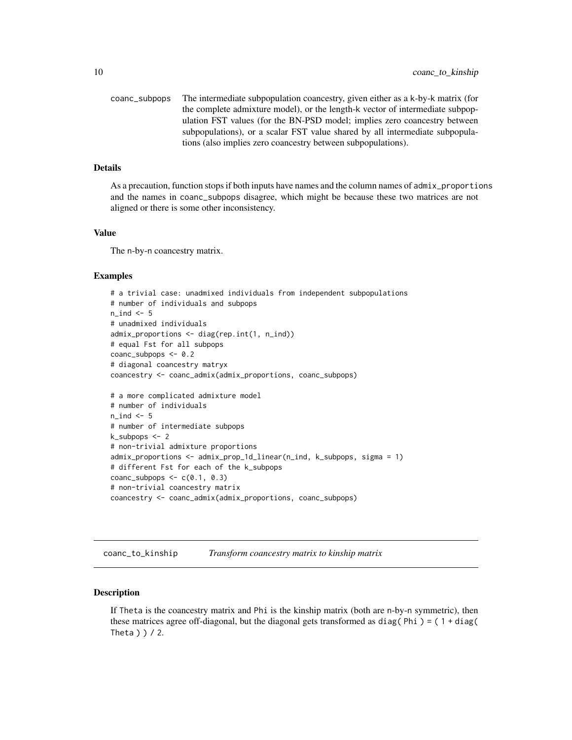<span id="page-9-0"></span>coanc\_subpops The intermediate subpopulation coancestry, given either as a k-by-k matrix (for the complete admixture model), or the length-k vector of intermediate subpopulation FST values (for the BN-PSD model; implies zero coancestry between subpopulations), or a scalar FST value shared by all intermediate subpopulations (also implies zero coancestry between subpopulations).

# Details

As a precaution, function stops if both inputs have names and the column names of admix\_proportions and the names in coanc\_subpops disagree, which might be because these two matrices are not aligned or there is some other inconsistency.

#### Value

The n-by-n coancestry matrix.

#### Examples

```
# a trivial case: unadmixed individuals from independent subpopulations
# number of individuals and subpops
n\_ind < -5# unadmixed individuals
admix_proportions <- diag(rep.int(1, n_ind))
# equal Fst for all subpops
coanc_subpops <- 0.2
# diagonal coancestry matryx
coancestry <- coanc_admix(admix_proportions, coanc_subpops)
# a more complicated admixture model
# number of individuals
n<sub>n</sub>ind <-5# number of intermediate subpops
k_subpops <- 2
# non-trivial admixture proportions
admix_proportions <- admix_prop_1d_linear(n_ind, k_subpops, sigma = 1)
# different Fst for each of the k_subpops
coanc_subpops \leq c(0.1, 0.3)# non-trivial coancestry matrix
coancestry <- coanc_admix(admix_proportions, coanc_subpops)
```
coanc\_to\_kinship *Transform coancestry matrix to kinship matrix*

#### Description

If Theta is the coancestry matrix and Phi is the kinship matrix (both are n-by-n symmetric), then these matrices agree off-diagonal, but the diagonal gets transformed as diag( $Phi$ ) = ( $1 + diag($ Theta  $)$   $)$   $/$  2.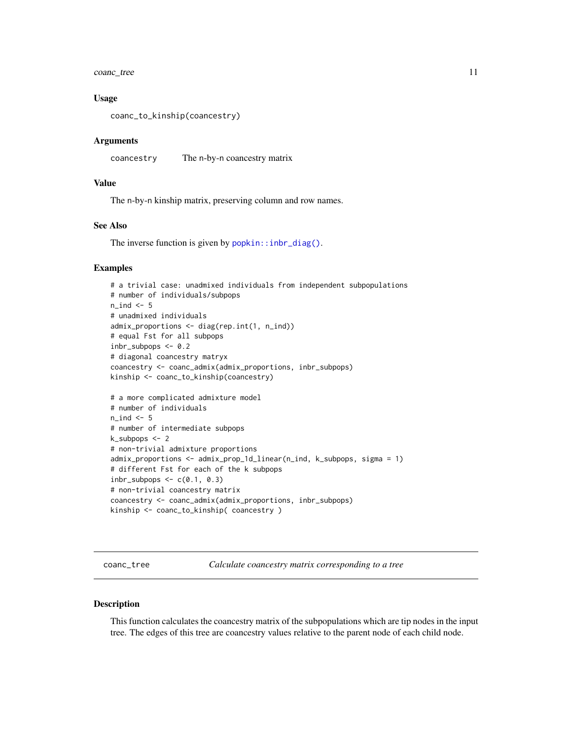<span id="page-10-0"></span>coanc\_tree 11

#### Usage

```
coanc_to_kinship(coancestry)
```
#### Arguments

coancestry The n-by-n coancestry matrix

# Value

The n-by-n kinship matrix, preserving column and row names.

# See Also

The inverse function is given by [popkin::inbr\\_diag\(\)](#page-0-0).

# Examples

```
# a trivial case: unadmixed individuals from independent subpopulations
# number of individuals/subpops
n\_ind < -5# unadmixed individuals
admix_proportions <- diag(rep.int(1, n_ind))
# equal Fst for all subpops
inbr\_subpops < -0.2# diagonal coancestry matryx
coancestry <- coanc_admix(admix_proportions, inbr_subpops)
kinship <- coanc_to_kinship(coancestry)
# a more complicated admixture model
# number of individuals
n<sub>ind</sub> <-5# number of intermediate subpops
k_subpops <- 2
# non-trivial admixture proportions
admix_proportions <- admix_prop_1d_linear(n_ind, k_subpops, sigma = 1)
# different Fst for each of the k subpops
inbr\_subpops \leq c(0.1, 0.3)# non-trivial coancestry matrix
coancestry <- coanc_admix(admix_proportions, inbr_subpops)
kinship <- coanc_to_kinship( coancestry )
```
<span id="page-10-1"></span>coanc\_tree *Calculate coancestry matrix corresponding to a tree*

#### Description

This function calculates the coancestry matrix of the subpopulations which are tip nodes in the input tree. The edges of this tree are coancestry values relative to the parent node of each child node.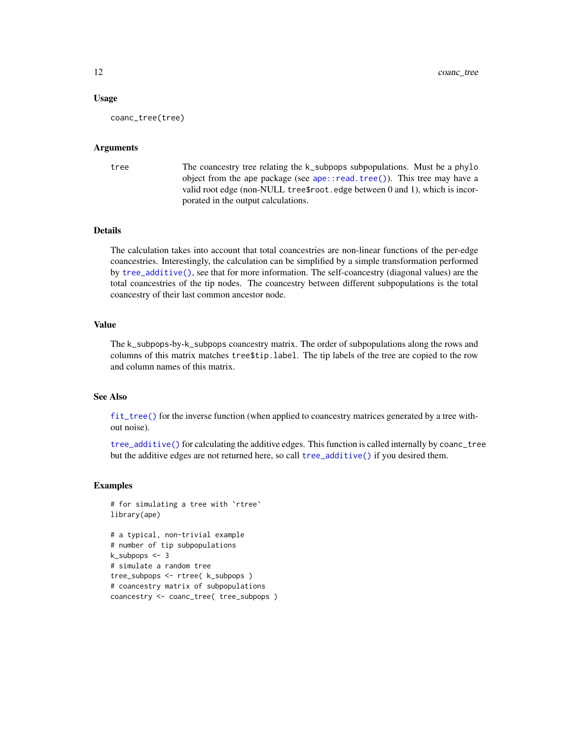#### <span id="page-11-0"></span>Usage

coanc\_tree(tree)

#### Arguments

tree The coancestry tree relating the k\_subpops subpopulations. Must be a phylo object from the ape package (see [ape::read.tree\(\)](#page-0-0)). This tree may have a valid root edge (non-NULL tree\$root.edge between 0 and 1), which is incorporated in the output calculations.

#### Details

The calculation takes into account that total coancestries are non-linear functions of the per-edge coancestries. Interestingly, the calculation can be simplified by a simple transformation performed by [tree\\_additive\(\)](#page-26-1), see that for more information. The self-coancestry (diagonal values) are the total coancestries of the tip nodes. The coancestry between different subpopulations is the total coancestry of their last common ancestor node.

# Value

The k\_subpops-by-k\_subpops coancestry matrix. The order of subpopulations along the rows and columns of this matrix matches tree\$tip.label. The tip labels of the tree are copied to the row and column names of this matrix.

### See Also

[fit\\_tree\(\)](#page-20-1) for the inverse function (when applied to coancestry matrices generated by a tree without noise).

[tree\\_additive\(\)](#page-26-1) for calculating the additive edges. This function is called internally by coanc\_tree but the additive edges are not returned here, so call [tree\\_additive\(\)](#page-26-1) if you desired them.

```
# for simulating a tree with `rtree`
library(ape)
```

```
# a typical, non-trivial example
# number of tip subpopulations
k_subpops <- 3
# simulate a random tree
tree_subpops <- rtree( k_subpops )
# coancestry matrix of subpopulations
coancestry <- coanc_tree( tree_subpops )
```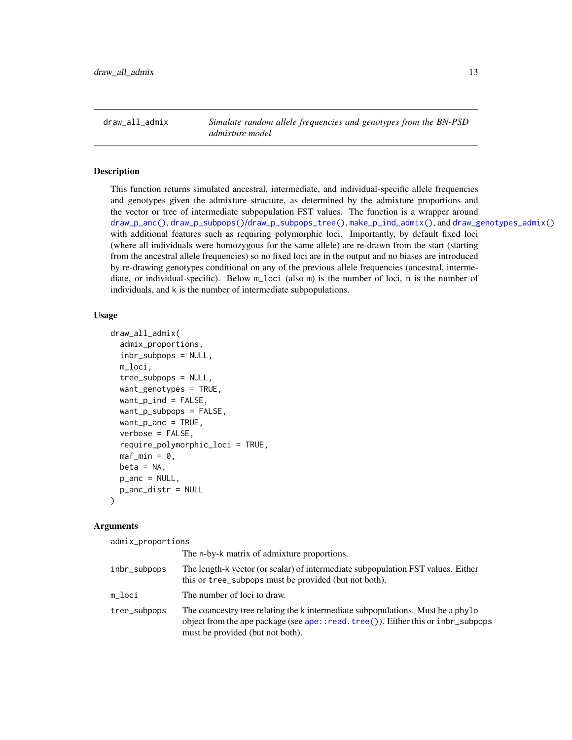<span id="page-12-1"></span><span id="page-12-0"></span>draw\_all\_admix *Simulate random allele frequencies and genotypes from the BN-PSD admixture model*

#### Description

This function returns simulated ancestral, intermediate, and individual-specific allele frequencies and genotypes given the admixture structure, as determined by the admixture proportions and the vector or tree of intermediate subpopulation FST values. The function is a wrapper around [draw\\_p\\_anc\(\)](#page-16-1), [draw\\_p\\_subpops\(\)](#page-17-1)/[draw\\_p\\_subpops\\_tree\(\)](#page-18-1), [make\\_p\\_ind\\_admix\(\)](#page-24-1), and [draw\\_genotypes\\_admix\(\)](#page-14-1) with additional features such as requiring polymorphic loci. Importantly, by default fixed loci (where all individuals were homozygous for the same allele) are re-drawn from the start (starting from the ancestral allele frequencies) so no fixed loci are in the output and no biases are introduced by re-drawing genotypes conditional on any of the previous allele frequencies (ancestral, intermediate, or individual-specific). Below m\_loci (also m) is the number of loci, n is the number of individuals, and k is the number of intermediate subpopulations.

#### Usage

```
draw_all_admix(
  admix_proportions,
  inbr_subpops = NULL,
  m_loci,
  tree_subpops = NULL,
  want_genotypes = TRUE,
  want_p_ind = FALSE,
  want_p_subpops = FALSE,
  want_p_anc = TRUE,
  verbose = FALSE,
  require_polymorphic_loci = TRUE,
  \text{maf\_min} = \emptyset,beta = NA,
  p_anc = NULL,
  p_anc_distr = NULL
)
```
# Arguments

admix\_proportions

|              | The n-by-k matrix of admixture proportions.                                                                                                                                                            |
|--------------|--------------------------------------------------------------------------------------------------------------------------------------------------------------------------------------------------------|
| inbr_subpops | The length-k vector (or scalar) of intermediate subpopulation FST values. Either<br>this or tree_subpops must be provided (but not both).                                                              |
| m loci       | The number of loci to draw.                                                                                                                                                                            |
| tree_subpops | The coancestry tree relating the k intermediate subpopulations. Must be a phylo<br>object from the ape package (see ape::read.tree()). Either this or inbr_subpops<br>must be provided (but not both). |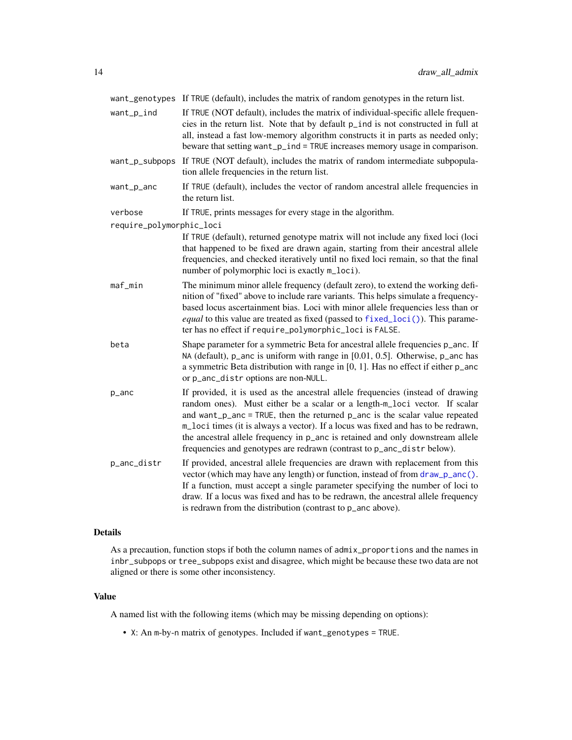<span id="page-13-0"></span>want\_genotypes If TRUE (default), includes the matrix of random genotypes in the return list.

- want\_p\_ind If TRUE (NOT default), includes the matrix of individual-specific allele frequencies in the return list. Note that by default p\_ind is not constructed in full at all, instead a fast low-memory algorithm constructs it in parts as needed only; beware that setting want\_p\_ind = TRUE increases memory usage in comparison.
- want\_p\_subpops If TRUE (NOT default), includes the matrix of random intermediate subpopulation allele frequencies in the return list.
- want\_p\_anc If TRUE (default), includes the vector of random ancestral allele frequencies in the return list.

verbose If TRUE, prints messages for every stage in the algorithm.

require\_polymorphic\_loci

- If TRUE (default), returned genotype matrix will not include any fixed loci (loci that happened to be fixed are drawn again, starting from their ancestral allele frequencies, and checked iteratively until no fixed loci remain, so that the final number of polymorphic loci is exactly  $m\_loci$ .
- maf\_min The minimum minor allele frequency (default zero), to extend the working definition of "fixed" above to include rare variants. This helps simulate a frequencybased locus ascertainment bias. Loci with minor allele frequencies less than or *equal* to this value are treated as fixed (passed to [fixed\\_loci\(\)](#page-21-1)). This parameter has no effect if require\_polymorphic\_loci is FALSE.
- beta Shape parameter for a symmetric Beta for ancestral allele frequencies p\_anc. If NA (default), p\_anc is uniform with range in [0.01, 0.5]. Otherwise, p\_anc has a symmetric Beta distribution with range in [0, 1]. Has no effect if either p\_anc or p\_anc\_distr options are non-NULL.
- p\_anc If provided, it is used as the ancestral allele frequencies (instead of drawing random ones). Must either be a scalar or a length-m\_loci vector. If scalar and want\_p\_anc = TRUE, then the returned p\_anc is the scalar value repeated m\_loci times (it is always a vector). If a locus was fixed and has to be redrawn, the ancestral allele frequency in p\_anc is retained and only downstream allele frequencies and genotypes are redrawn (contrast to p\_anc\_distr below).
- p\_anc\_distr If provided, ancestral allele frequencies are drawn with replacement from this vector (which may have any length) or function, instead of from [draw\\_p\\_anc\(\)](#page-16-1). If a function, must accept a single parameter specifying the number of loci to draw. If a locus was fixed and has to be redrawn, the ancestral allele frequency is redrawn from the distribution (contrast to p\_anc above).

#### Details

As a precaution, function stops if both the column names of admix\_proportions and the names in inbr\_subpops or tree\_subpops exist and disagree, which might be because these two data are not aligned or there is some other inconsistency.

#### Value

A named list with the following items (which may be missing depending on options):

• X: An m-by-n matrix of genotypes. Included if want\_genotypes = TRUE.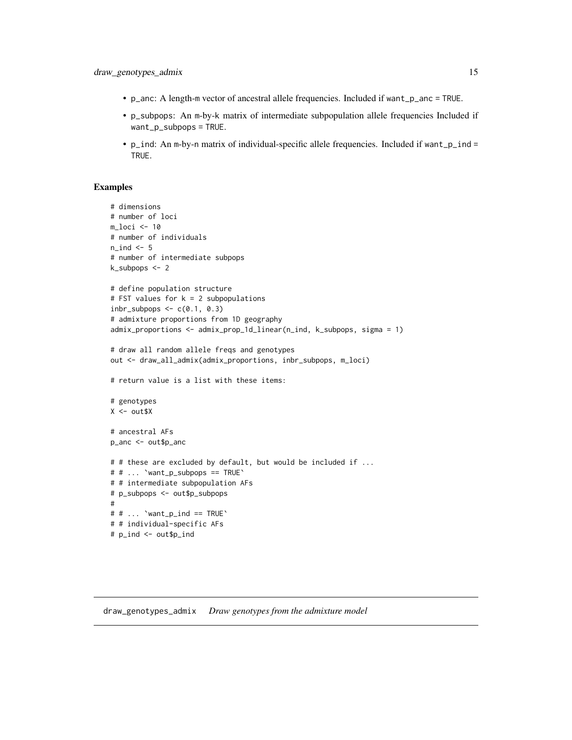- <span id="page-14-0"></span>• p\_anc: A length-m vector of ancestral allele frequencies. Included if want\_p\_anc = TRUE.
- p\_subpops: An m-by-k matrix of intermediate subpopulation allele frequencies Included if want\_p\_subpops = TRUE.
- p\_ind: An m-by-n matrix of individual-specific allele frequencies. Included if want\_p\_ind = TRUE.

# Examples

```
# dimensions
# number of loci
m_loci <- 10
# number of individuals
n\_ind < -5# number of intermediate subpops
k_subpops <- 2
# define population structure
# FST values for k = 2 subpopulations
inbr\_subpops \leftarrow c(0.1, 0.3)# admixture proportions from 1D geography
admix_proportions <- admix_prop_1d_linear(n_ind, k_subpops, sigma = 1)
# draw all random allele freqs and genotypes
out <- draw_all_admix(admix_proportions, inbr_subpops, m_loci)
# return value is a list with these items:
# genotypes
X \le - out $X
# ancestral AFs
p_anc <- out$p_anc
# # these are excluded by default, but would be included if ...
# # ... `want_p_subpops == TRUE`
# # intermediate subpopulation AFs
# p_subpops <- out$p_subpops
#
# # \ldots 'want_p_ind == TRUE'
# # individual-specific AFs
# p_ind <- out$p_ind
```
#### <span id="page-14-1"></span>draw\_genotypes\_admix *Draw genotypes from the admixture model*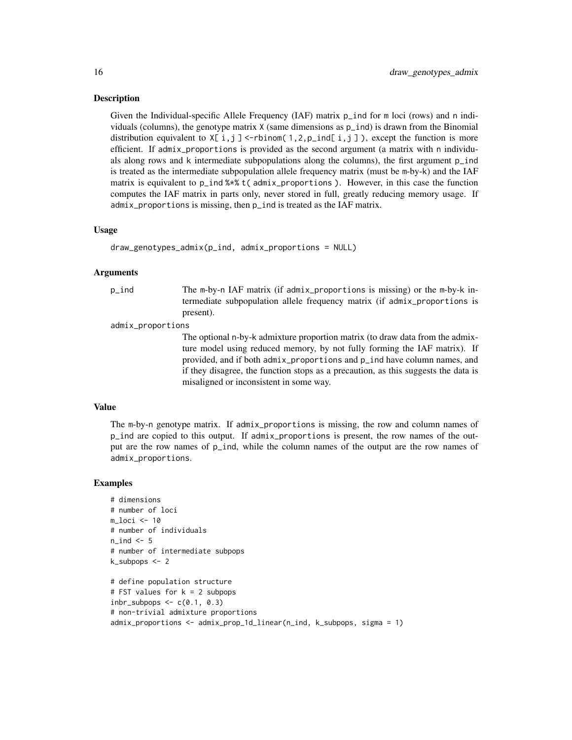#### **Description**

Given the Individual-specific Allele Frequency (IAF) matrix p\_ind for m loci (rows) and n individuals (columns), the genotype matrix  $X$  (same dimensions as  $p$ \_ind) is drawn from the Binomial distribution equivalent to  $X[i, j] < -rbinom(1, 2, p_iind[i, j])$ , except the function is more efficient. If admix\_proportions is provided as the second argument (a matrix with n individuals along rows and k intermediate subpopulations along the columns), the first argument p\_ind is treated as the intermediate subpopulation allele frequency matrix (must be m-by-k) and the IAF matrix is equivalent to p\_ind %\*% t( admix\_proportions ). However, in this case the function computes the IAF matrix in parts only, never stored in full, greatly reducing memory usage. If admix\_proportions is missing, then p\_ind is treated as the IAF matrix.

#### Usage

draw\_genotypes\_admix(p\_ind, admix\_proportions = NULL)

# Arguments

p\_ind The m-by-n IAF matrix (if admix\_proportions is missing) or the m-by-k intermediate subpopulation allele frequency matrix (if admix\_proportions is present).

admix\_proportions

The optional n-by-k admixture proportion matrix (to draw data from the admixture model using reduced memory, by not fully forming the IAF matrix). If provided, and if both admix\_proportions and p\_ind have column names, and if they disagree, the function stops as a precaution, as this suggests the data is misaligned or inconsistent in some way.

#### Value

The m-by-n genotype matrix. If admix\_proportions is missing, the row and column names of p\_ind are copied to this output. If admix\_proportions is present, the row names of the output are the row names of p\_ind, while the column names of the output are the row names of admix\_proportions.

```
# dimensions
# number of loci
m_loci <- 10
# number of individuals
n ind <-5# number of intermediate subpops
k_subpops <- 2
# define population structure
# FST values for k = 2 subpops
inbr\_subpops \leq c(0.1, 0.3)# non-trivial admixture proportions
admix_proportions <- admix_prop_1d_linear(n_ind, k_subpops, sigma = 1)
```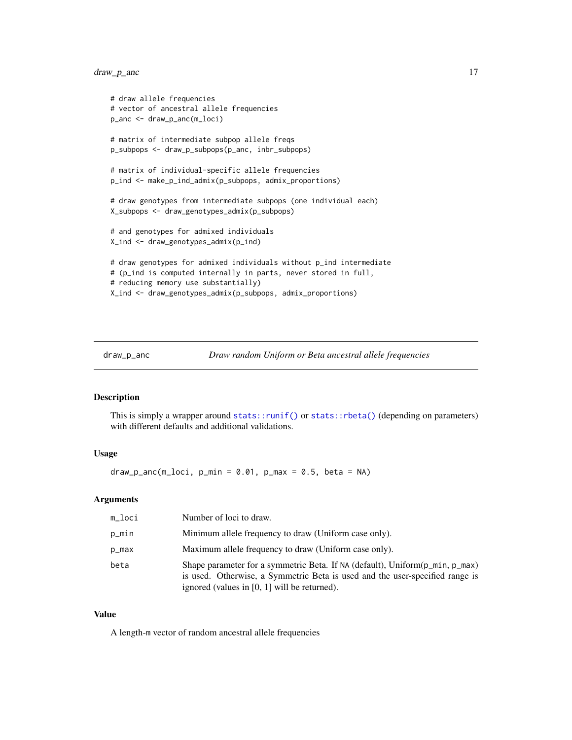# <span id="page-16-0"></span>draw\_p\_anc 17

```
# draw allele frequencies
# vector of ancestral allele frequencies
p_anc <- draw_p_anc(m_loci)
# matrix of intermediate subpop allele freqs
p_subpops <- draw_p_subpops(p_anc, inbr_subpops)
# matrix of individual-specific allele frequencies
p_ind <- make_p_ind_admix(p_subpops, admix_proportions)
# draw genotypes from intermediate subpops (one individual each)
X_subpops <- draw_genotypes_admix(p_subpops)
# and genotypes for admixed individuals
X_ind <- draw_genotypes_admix(p_ind)
# draw genotypes for admixed individuals without p_ind intermediate
# (p_ind is computed internally in parts, never stored in full,
# reducing memory use substantially)
X_ind <- draw_genotypes_admix(p_subpops, admix_proportions)
```
### Description

This is simply a wrapper around [stats::runif\(\)](#page-0-0) or [stats::rbeta\(\)](#page-0-0) (depending on parameters) with different defaults and additional validations.

#### Usage

 $draw_p_anc(m_loci, p=min = 0.01, p_max = 0.5, beta = NA)$ 

# Arguments

| m_loci | Number of loci to draw.                                                                                                                                                                                        |
|--------|----------------------------------------------------------------------------------------------------------------------------------------------------------------------------------------------------------------|
| p_min  | Minimum allele frequency to draw (Uniform case only).                                                                                                                                                          |
| p_max  | Maximum allele frequency to draw (Uniform case only).                                                                                                                                                          |
| beta   | Shape parameter for a symmetric Beta. If NA (default), Uniform(p_min, p_max)<br>is used. Otherwise, a Symmetric Beta is used and the user-specified range is<br>ignored (values in $[0, 1]$ will be returned). |

#### Value

A length-m vector of random ancestral allele frequencies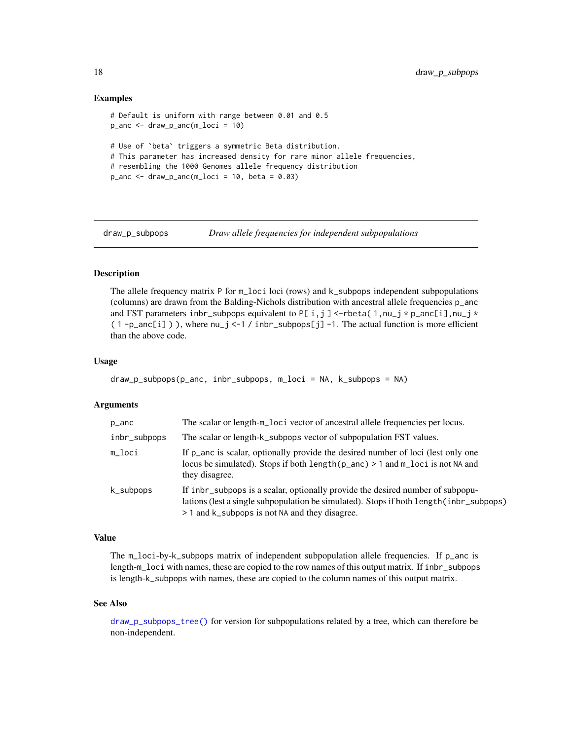# Examples

```
# Default is uniform with range between 0.01 and 0.5
p_anc \leq draw_p_anc(m_loci = 10)
# Use of `beta` triggers a symmetric Beta distribution.
# This parameter has increased density for rare minor allele frequencies,
# resembling the 1000 Genomes allele frequency distribution
p_anc <- draw_p_anc(m_loci = 10, beta = 0.03)
```
<span id="page-17-1"></span>

draw\_p\_subpops *Draw allele frequencies for independent subpopulations*

# **Description**

The allele frequency matrix P for m\_loci loci (rows) and k\_subpops independent subpopulations (columns) are drawn from the Balding-Nichols distribution with ancestral allele frequencies p\_anc and FST parameters inbr\_subpops equivalent to P[ i,j] <-rbeta( $1, nu_j * p_1$ anc[i],nu\_j  $*$  $(1-p_0 \cdot \text{enc}[i])$ ), where  $nu_j \leq -1$  / inbr\_subpops[j] -1. The actual function is more efficient than the above code.

#### Usage

```
draw_p_subpops(p_anc, inbr_subpops, m_loci = NA, k_subpops = NA)
```
#### Arguments

| p_anc        | The scalar or length-m_loci vector of ancestral allele frequencies per locus.                                                                                                                                               |
|--------------|-----------------------------------------------------------------------------------------------------------------------------------------------------------------------------------------------------------------------------|
| inbr_subpops | The scalar or length-k_subpops vector of subpopulation FST values.                                                                                                                                                          |
| m_loci       | If p_anc is scalar, optionally provide the desired number of loci (lest only one<br>locus be simulated). Stops if both length $(p_0$ anc) > 1 and m <sub>rl</sub> oci is not NA and<br>they disagree.                       |
| k_subpops    | If independence is a scalar, optionally provide the desired number of subpopu-<br>lations (lest a single subpopulation be simulated). Stops if both length (inbr_subpops)<br>> 1 and k_subpops is not NA and they disagree. |

# Value

The m\_loci-by-k\_subpops matrix of independent subpopulation allele frequencies. If p\_anc is length-m\_loci with names, these are copied to the row names of this output matrix. If inbr\_subpops is length-k\_subpops with names, these are copied to the column names of this output matrix.

#### See Also

[draw\\_p\\_subpops\\_tree\(\)](#page-18-1) for version for subpopulations related by a tree, which can therefore be non-independent.

<span id="page-17-0"></span>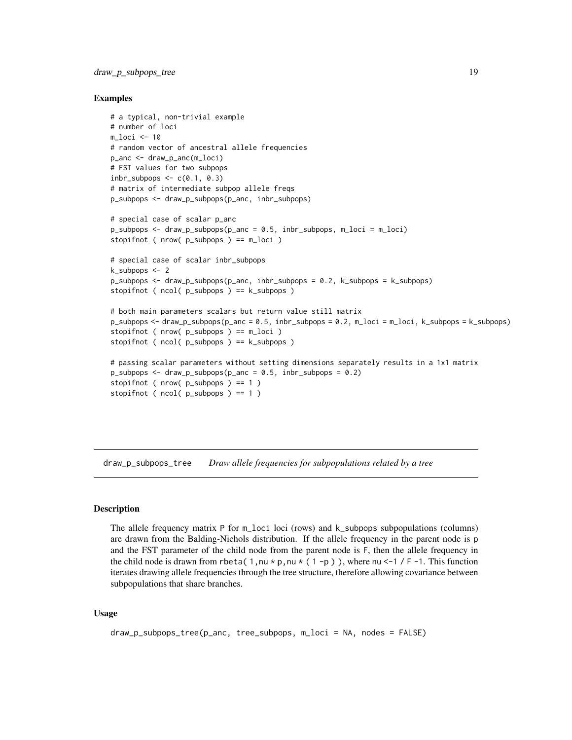#### <span id="page-18-0"></span>Examples

```
# a typical, non-trivial example
# number of loci
m_loci <- 10
# random vector of ancestral allele frequencies
p_anc <- draw_p_anc(m_loci)
# FST values for two subpops
inbr\_subpops \leq c(0.1, 0.3)# matrix of intermediate subpop allele freqs
p_subpops <- draw_p_subpops(p_anc, inbr_subpops)
# special case of scalar p_anc
p_subpops \leq draw_p_subpops(p_anc = 0.5, inbr_subpops, m_loci = m_loci)
stopifnot ( nrow( p_subpops ) == m_loci )
# special case of scalar inbr_subpops
k_subpops <- 2
p_subpops <- draw_p_subpops(p_anc, inbr_subpops = 0.2, k_subpops = k_subpops)
stopifnot ( ncol( p_subpops ) == k_subpops )
# both main parameters scalars but return value still matrix
p_subpops <- draw_p_subpops(p_anc = 0.5, inbr_subpops = 0.2, m_loci = m_loci, k_subpops = k_subpops)
stopifnot ( nrow( p_subpops ) == m_loci )
stopifnot ( ncol( p_subpops ) == k_subpops )
# passing scalar parameters without setting dimensions separately results in a 1x1 matrix
p_subpops <- draw_p_subpops(p_anc = 0.5, inbr_subpops = 0.2)
stopifnot ( nrow(p_subpops) == 1 )
stopifnot ( ncol( p_subpops ) == 1 )
```
<span id="page-18-1"></span>draw\_p\_subpops\_tree *Draw allele frequencies for subpopulations related by a tree*

# **Description**

The allele frequency matrix P for m\_loci loci (rows) and k\_subpops subpopulations (columns) are drawn from the Balding-Nichols distribution. If the allele frequency in the parent node is p and the FST parameter of the child node from the parent node is F, then the allele frequency in the child node is drawn from rbeta( 1, nu  $*$  p, nu  $*$  ( 1 -p )), where nu <-1 / F -1. This function iterates drawing allele frequencies through the tree structure, therefore allowing covariance between subpopulations that share branches.

#### Usage

```
draw_p_subpops_tree(p_anc, tree_subpops, m_loci = NA, nodes = FALSE)
```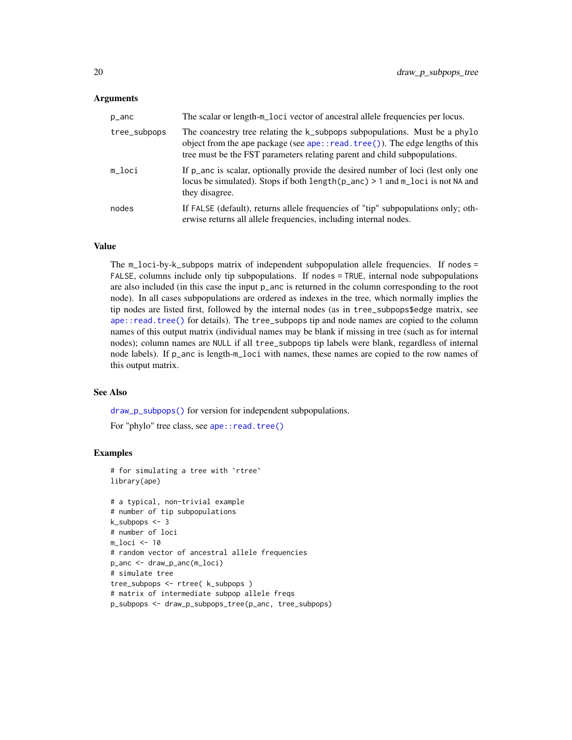#### <span id="page-19-0"></span>Arguments

| p_anc        | The scalar or length-m_loci vector of ancestral allele frequencies per locus.                                                                                                                                                           |
|--------------|-----------------------------------------------------------------------------------------------------------------------------------------------------------------------------------------------------------------------------------------|
| tree_subpops | The coancestry tree relating the k_subpops subpopulations. Must be a phylo<br>object from the ape package (see ape::read.tree()). The edge lengths of this<br>tree must be the FST parameters relating parent and child subpopulations. |
| m loci       | If p_anc is scalar, optionally provide the desired number of loci (lest only one<br>locus be simulated). Stops if both $length(p_anc) > 1$ and $m_loci$ is not NA and<br>they disagree.                                                 |
| nodes        | If FALSE (default), returns allele frequencies of "tip" subpopulations only; oth-<br>erwise returns all allele frequencies, including internal nodes.                                                                                   |

# Value

The m\_loci-by-k\_subpops matrix of independent subpopulation allele frequencies. If nodes = FALSE, columns include only tip subpopulations. If nodes = TRUE, internal node subpopulations are also included (in this case the input p\_anc is returned in the column corresponding to the root node). In all cases subpopulations are ordered as indexes in the tree, which normally implies the tip nodes are listed first, followed by the internal nodes (as in tree\_subpops\$edge matrix, see [ape::read.tree\(\)](#page-0-0) for details). The tree\_subpops tip and node names are copied to the column names of this output matrix (individual names may be blank if missing in tree (such as for internal nodes); column names are NULL if all tree\_subpops tip labels were blank, regardless of internal node labels). If p\_anc is length-m\_loci with names, these names are copied to the row names of this output matrix.

#### See Also

[draw\\_p\\_subpops\(\)](#page-17-1) for version for independent subpopulations.

For "phylo" tree class, see ape:: read.tree()

```
# for simulating a tree with `rtree`
library(ape)
```

```
# a typical, non-trivial example
# number of tip subpopulations
k_subpops <- 3
# number of loci
m_loci <- 10
# random vector of ancestral allele frequencies
p_anc <- draw_p_anc(m_loci)
# simulate tree
tree_subpops <- rtree( k_subpops )
# matrix of intermediate subpop allele freqs
p_subpops <- draw_p_subpops_tree(p_anc, tree_subpops)
```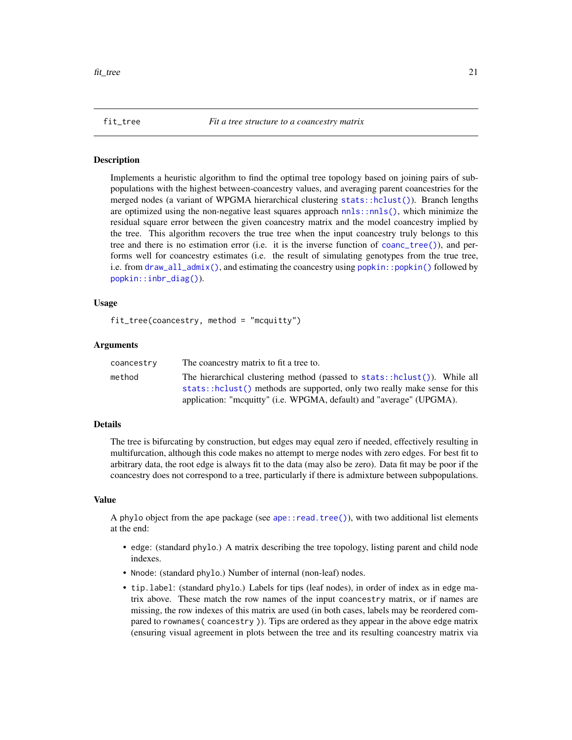<span id="page-20-1"></span><span id="page-20-0"></span>

#### **Description**

Implements a heuristic algorithm to find the optimal tree topology based on joining pairs of subpopulations with the highest between-coancestry values, and averaging parent coancestries for the merged nodes (a variant of WPGMA hierarchical clustering [stats::hclust\(\)](#page-0-0)). Branch lengths are optimized using the non-negative least squares approach [nnls::nnls\(\)](#page-0-0), which minimize the residual square error between the given coancestry matrix and the model coancestry implied by the tree. This algorithm recovers the true tree when the input coancestry truly belongs to this tree and there is no estimation error (i.e. it is the inverse function of [coanc\\_tree\(\)](#page-10-1)), and performs well for coancestry estimates (i.e. the result of simulating genotypes from the true tree, i.e. from  $d$ raw\_all\_admix(), and estimating the coancestry using [popkin::popkin\(\)](#page-0-0) followed by [popkin::inbr\\_diag\(\)](#page-0-0)).

#### Usage

```
fit\_tree(coancestry, method = "mcquitty")
```
# Arguments

| coancestry | The coancestry matrix to fit a tree to.                                                                                                                 |
|------------|---------------------------------------------------------------------------------------------------------------------------------------------------------|
| method     | The hierarchical clustering method (passed to stats::hclust()). While all<br>stats::hclust() methods are supported, only two really make sense for this |
|            | application: "mcquitty" (i.e. WPGMA, default) and "average" (UPGMA).                                                                                    |

#### Details

The tree is bifurcating by construction, but edges may equal zero if needed, effectively resulting in multifurcation, although this code makes no attempt to merge nodes with zero edges. For best fit to arbitrary data, the root edge is always fit to the data (may also be zero). Data fit may be poor if the coancestry does not correspond to a tree, particularly if there is admixture between subpopulations.

#### Value

A phylo object from the ape package (see [ape::read.tree\(\)](#page-0-0)), with two additional list elements at the end:

- edge: (standard phylo.) A matrix describing the tree topology, listing parent and child node indexes.
- Nnode: (standard phylo.) Number of internal (non-leaf) nodes.
- tip.label: (standard phylo.) Labels for tips (leaf nodes), in order of index as in edge matrix above. These match the row names of the input coancestry matrix, or if names are missing, the row indexes of this matrix are used (in both cases, labels may be reordered compared to rownames( coancestry )). Tips are ordered as they appear in the above edge matrix (ensuring visual agreement in plots between the tree and its resulting coancestry matrix via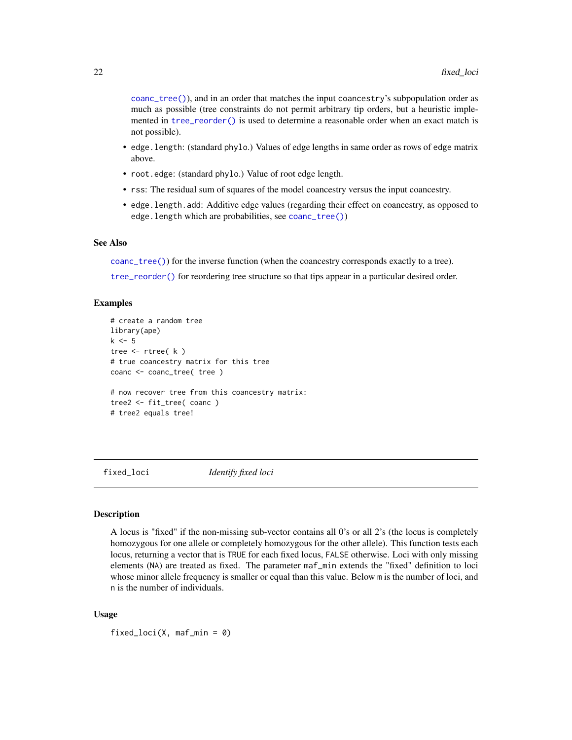<span id="page-21-0"></span>[coanc\\_tree\(\)](#page-10-1)), and in an order that matches the input coancestry's subpopulation order as much as possible (tree constraints do not permit arbitrary tip orders, but a heuristic implemented in [tree\\_reorder\(\)](#page-29-1) is used to determine a reasonable order when an exact match is not possible).

- edge.length: (standard phylo.) Values of edge lengths in same order as rows of edge matrix above.
- root.edge: (standard phylo.) Value of root edge length.
- rss: The residual sum of squares of the model coancestry versus the input coancestry.
- edge.length.add: Additive edge values (regarding their effect on coancestry, as opposed to edge.length which are probabilities, see [coanc\\_tree\(\)](#page-10-1))

# See Also

[coanc\\_tree\(\)](#page-10-1)) for the inverse function (when the coancestry corresponds exactly to a tree).

[tree\\_reorder\(\)](#page-29-1) for reordering tree structure so that tips appear in a particular desired order.

# Examples

```
# create a random tree
library(ape)
k \leq -5tree <- rtree( k )
# true coancestry matrix for this tree
coanc <- coanc_tree( tree )
# now recover tree from this coancestry matrix:
tree2 <- fit_tree( coanc )
# tree2 equals tree!
```
<span id="page-21-1"></span>fixed\_loci *Identify fixed loci*

# **Description**

A locus is "fixed" if the non-missing sub-vector contains all 0's or all 2's (the locus is completely homozygous for one allele or completely homozygous for the other allele). This function tests each locus, returning a vector that is TRUE for each fixed locus, FALSE otherwise. Loci with only missing elements (NA) are treated as fixed. The parameter maf\_min extends the "fixed" definition to loci whose minor allele frequency is smaller or equal than this value. Below m is the number of loci, and n is the number of individuals.

#### Usage

fixed\_loci(X, maf\_min =  $0$ )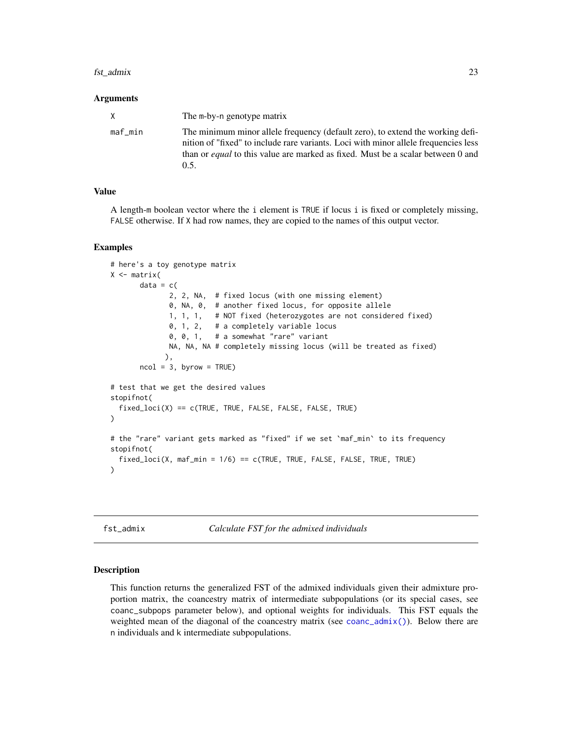#### <span id="page-22-0"></span>fst\_admix 23

#### Arguments

| X       | The m-by-n genotype matrix                                                                                                                                                                                                                                               |
|---------|--------------------------------------------------------------------------------------------------------------------------------------------------------------------------------------------------------------------------------------------------------------------------|
| maf min | The minimum minor allele frequency (default zero), to extend the working defi-<br>nition of "fixed" to include rare variants. Loci with minor allele frequencies less<br>than or <i>equal</i> to this value are marked as fixed. Must be a scalar between 0 and<br>(0.5. |

# Value

A length-m boolean vector where the i element is TRUE if locus i is fixed or completely missing, FALSE otherwise. If X had row names, they are copied to the names of this output vector.

# Examples

```
# here's a toy genotype matrix
X \leftarrow matrix(data = c(2, 2, NA, # fixed locus (with one missing element)
              0, NA, 0, # another fixed locus, for opposite allele
              1, 1, 1, # NOT fixed (heterozygotes are not considered fixed)
              0, 1, 2, # a completely variable locus
              0, 0, 1, # a somewhat "rare" variant
             NA, NA, NA # completely missing locus (will be treated as fixed)
             ),
      ncol = 3, byrow = TRUE)
# test that we get the desired values
stopifnot(
 fixed_loci(X) == c(TRUE, TRUE, FALSE, FALSE, FALSE, TRUE)
)
# the "rare" variant gets marked as "fixed" if we set `maf_min` to its frequency
stopifnot(
 fixed\_loci(X, mark_min = 1/6) == c(TRUE, TRUE, FALSE, FALSE, TRUE, TRUE))
```
fst\_admix *Calculate FST for the admixed individuals*

# Description

This function returns the generalized FST of the admixed individuals given their admixture proportion matrix, the coancestry matrix of intermediate subpopulations (or its special cases, see coanc\_subpops parameter below), and optional weights for individuals. This FST equals the weighted mean of the diagonal of the coancestry matrix (see [coanc\\_admix\(\)](#page-8-1)). Below there are n individuals and k intermediate subpopulations.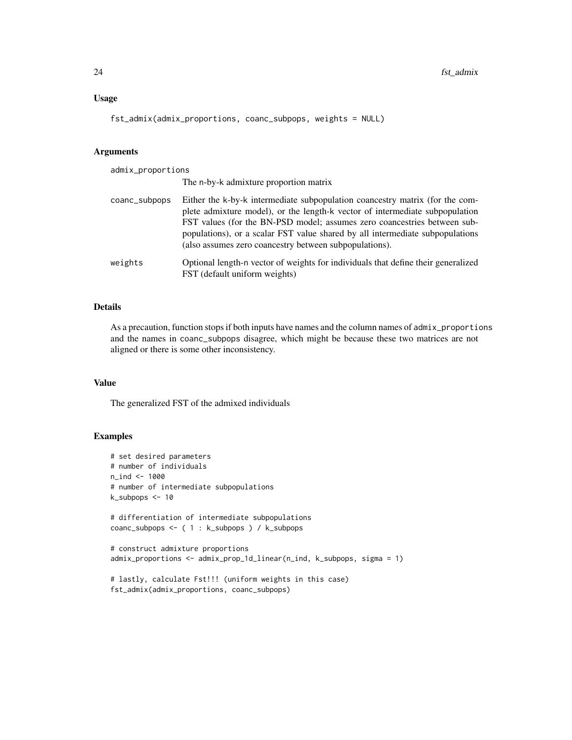# Usage

```
fst_admix(admix_proportions, coanc_subpops, weights = NULL)
```
# Arguments

| admix_proportions |                                                                                                                                                                                                                                                                                                                                                                                     |  |
|-------------------|-------------------------------------------------------------------------------------------------------------------------------------------------------------------------------------------------------------------------------------------------------------------------------------------------------------------------------------------------------------------------------------|--|
|                   | The n-by-k admixture proportion matrix                                                                                                                                                                                                                                                                                                                                              |  |
| coanc_subpops     | Either the k-by-k intermediate subpopulation coancestry matrix (for the com-<br>plete admixture model), or the length-k vector of intermediate subpopulation<br>FST values (for the BN-PSD model; assumes zero coancestries between sub-<br>populations), or a scalar FST value shared by all intermediate subpopulations<br>(also assumes zero coancestry between subpopulations). |  |
| weights           | Optional length-n vector of weights for individuals that define their generalized<br>FST (default uniform weights)                                                                                                                                                                                                                                                                  |  |

# Details

As a precaution, function stops if both inputs have names and the column names of admix\_proportions and the names in coanc\_subpops disagree, which might be because these two matrices are not aligned or there is some other inconsistency.

# Value

The generalized FST of the admixed individuals

```
# set desired parameters
# number of individuals
n_ind <- 1000
# number of intermediate subpopulations
k_subpops <- 10
# differentiation of intermediate subpopulations
coanc_subpops <- ( 1 : k_subpops ) / k_subpops
# construct admixture proportions
admix_proportions <- admix_prop_1d_linear(n_ind, k_subpops, sigma = 1)
# lastly, calculate Fst!!! (uniform weights in this case)
fst_admix(admix_proportions, coanc_subpops)
```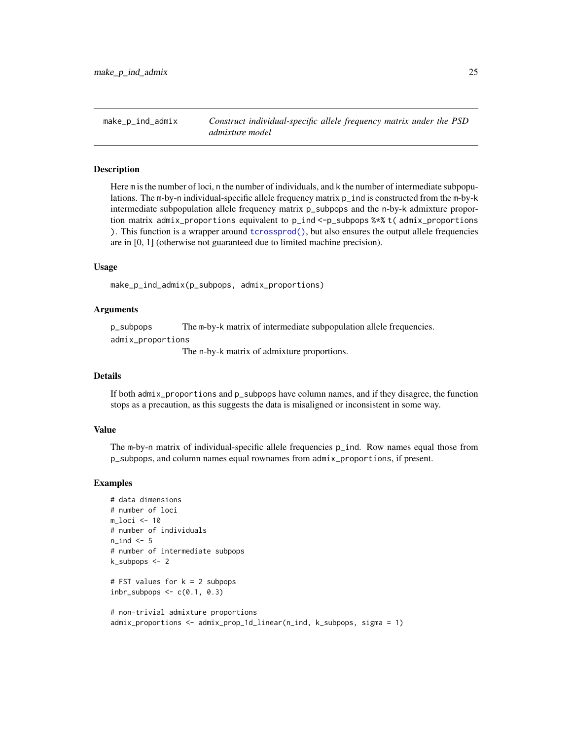<span id="page-24-1"></span><span id="page-24-0"></span>make\_p\_ind\_admix *Construct individual-specific allele frequency matrix under the PSD admixture model*

# **Description**

Here m is the number of loci, n the number of individuals, and k the number of intermediate subpopulations. The m-by-n individual-specific allele frequency matrix p\_ind is constructed from the m-by-k intermediate subpopulation allele frequency matrix p\_subpops and the n-by-k admixture proportion matrix admix\_proportions equivalent to p\_ind <-p\_subpops %\*% t( admix\_proportions ). This function is a wrapper around [tcrossprod\(\)](#page-0-0), but also ensures the output allele frequencies are in [0, 1] (otherwise not guaranteed due to limited machine precision).

# Usage

make\_p\_ind\_admix(p\_subpops, admix\_proportions)

# Arguments

p\_subpops The m-by-k matrix of intermediate subpopulation allele frequencies.

admix\_proportions

The n-by-k matrix of admixture proportions.

# Details

If both admix\_proportions and p\_subpops have column names, and if they disagree, the function stops as a precaution, as this suggests the data is misaligned or inconsistent in some way.

#### Value

The m-by-n matrix of individual-specific allele frequencies p\_ind. Row names equal those from p\_subpops, and column names equal rownames from admix\_proportions, if present.

```
# data dimensions
# number of loci
m_loci <- 10
# number of individuals
n_ind <- 5
# number of intermediate subpops
k_subpops <- 2
# FST values for k = 2 subpops
inbr\_subpops \leq c(0.1, 0.3)
```

```
# non-trivial admixture proportions
admix_proportions <- admix_prop_1d_linear(n_ind, k_subpops, sigma = 1)
```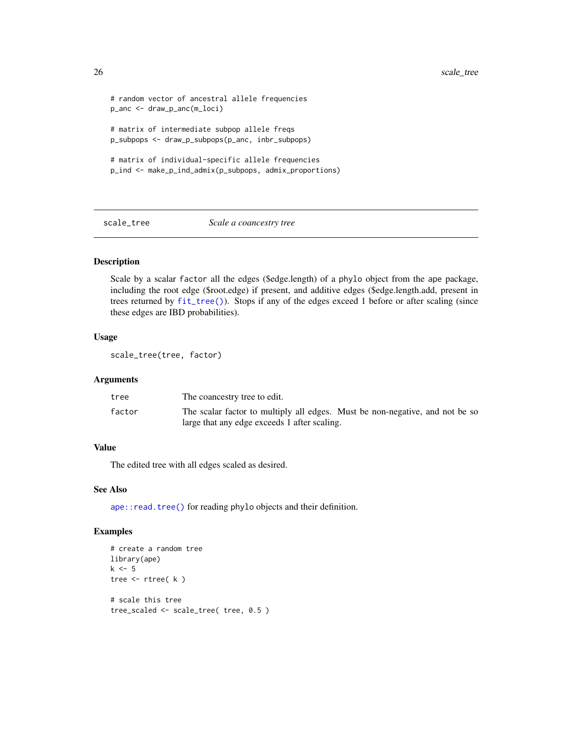```
# random vector of ancestral allele frequencies
p_anc <- draw_p_anc(m_loci)
# matrix of intermediate subpop allele freqs
p_subpops <- draw_p_subpops(p_anc, inbr_subpops)
# matrix of individual-specific allele frequencies
p_ind <- make_p_ind_admix(p_subpops, admix_proportions)
```
scale\_tree *Scale a coancestry tree*

# Description

Scale by a scalar factor all the edges (\$edge.length) of a phylo object from the ape package, including the root edge (\$root.edge) if present, and additive edges (\$edge.length.add, present in trees returned by [fit\\_tree\(\)](#page-20-1)). Stops if any of the edges exceed 1 before or after scaling (since these edges are IBD probabilities).

# Usage

scale\_tree(tree, factor)

#### Arguments

| tree   | The coancestry tree to edit.                                                 |
|--------|------------------------------------------------------------------------------|
| factor | The scalar factor to multiply all edges. Must be non-negative, and not be so |
|        | large that any edge exceeds 1 after scaling.                                 |

# Value

The edited tree with all edges scaled as desired.

# See Also

[ape::read.tree\(\)](#page-0-0) for reading phylo objects and their definition.

```
# create a random tree
library(ape)
k \leq -5tree <- rtree( k )
# scale this tree
tree_scaled <- scale_tree( tree, 0.5 )
```
<span id="page-25-0"></span>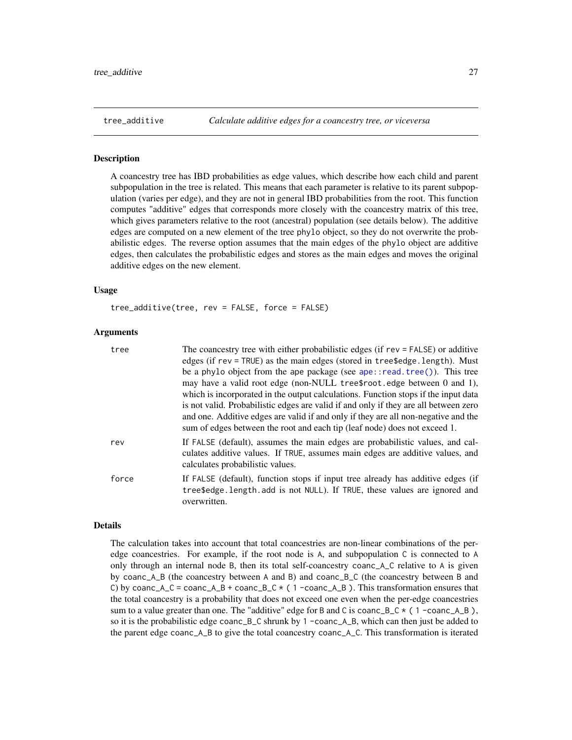#### <span id="page-26-1"></span><span id="page-26-0"></span>Description

A coancestry tree has IBD probabilities as edge values, which describe how each child and parent subpopulation in the tree is related. This means that each parameter is relative to its parent subpopulation (varies per edge), and they are not in general IBD probabilities from the root. This function computes "additive" edges that corresponds more closely with the coancestry matrix of this tree, which gives parameters relative to the root (ancestral) population (see details below). The additive edges are computed on a new element of the tree phylo object, so they do not overwrite the probabilistic edges. The reverse option assumes that the main edges of the phylo object are additive edges, then calculates the probabilistic edges and stores as the main edges and moves the original additive edges on the new element.

#### Usage

tree\_additive(tree, rev = FALSE, force = FALSE)

#### Arguments

| tree  | The coancestry tree with either probabilistic edges (if rev = FALSE) or additive                                                                                                                                                                        |
|-------|---------------------------------------------------------------------------------------------------------------------------------------------------------------------------------------------------------------------------------------------------------|
|       | edges (if rev = TRUE) as the main edges (stored in tree\$edge.length). Must                                                                                                                                                                             |
|       | be a phylo object from the ape package (see $ape::read-tree()$ ). This tree                                                                                                                                                                             |
|       | may have a valid root edge (non-NULL tree\$root.edge between 0 and 1),                                                                                                                                                                                  |
|       | which is incorporated in the output calculations. Function stops if the input data                                                                                                                                                                      |
|       | is not valid. Probabilistic edges are valid if and only if they are all between zero<br>and one. Additive edges are valid if and only if they are all non-negative and the<br>sum of edges between the root and each tip (leaf node) does not exceed 1. |
| rev   | If FALSE (default), assumes the main edges are probabilistic values, and cal-<br>culates additive values. If TRUE, assumes main edges are additive values, and<br>calculates probabilistic values.                                                      |
| force | If FALSE (default), function stops if input tree already has additive edges (if<br>tree\$edge.length.add is not NULL). If TRUE, these values are ignored and<br>overwritten.                                                                            |

#### Details

The calculation takes into account that total coancestries are non-linear combinations of the peredge coancestries. For example, if the root node is A, and subpopulation C is connected to A only through an internal node B, then its total self-coancestry coanc\_A\_C relative to A is given by coanc\_A\_B (the coancestry between A and B) and coanc\_B\_C (the coancestry between B and C) by coanc\_A\_C = coanc\_A\_B + coanc\_B\_C  $\star$  (1 -coanc\_A\_B). This transformation ensures that the total coancestry is a probability that does not exceed one even when the per-edge coancestries sum to a value greater than one. The "additive" edge for B and C is coanc\_B\_C  $\star$  (1 -coanc\_A\_B), so it is the probabilistic edge coanc\_B\_C shrunk by 1 -coanc\_A\_B, which can then just be added to the parent edge coanc\_A\_B to give the total coancestry coanc\_A\_C. This transformation is iterated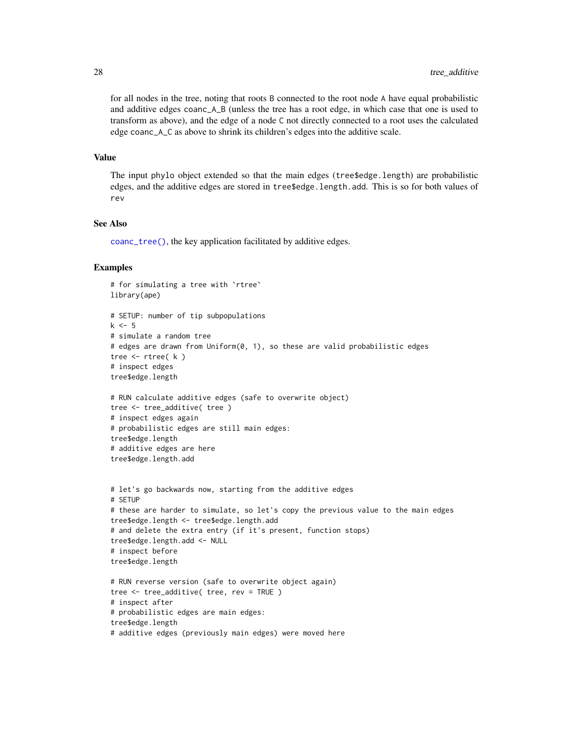<span id="page-27-0"></span>for all nodes in the tree, noting that roots B connected to the root node A have equal probabilistic and additive edges coanc\_A\_B (unless the tree has a root edge, in which case that one is used to transform as above), and the edge of a node C not directly connected to a root uses the calculated edge coanc\_A\_C as above to shrink its children's edges into the additive scale.

#### Value

The input phylo object extended so that the main edges (tree\$edge.length) are probabilistic edges, and the additive edges are stored in tree\$edge.length.add. This is so for both values of rev

# See Also

[coanc\\_tree\(\)](#page-10-1), the key application facilitated by additive edges.

```
# for simulating a tree with `rtree`
library(ape)
# SETUP: number of tip subpopulations
k \le -5# simulate a random tree
# edges are drawn from Uniform(0, 1), so these are valid probabilistic edges
tree \leq rtree(k)
# inspect edges
tree$edge.length
# RUN calculate additive edges (safe to overwrite object)
tree <- tree_additive( tree )
# inspect edges again
# probabilistic edges are still main edges:
tree$edge.length
# additive edges are here
tree$edge.length.add
# let's go backwards now, starting from the additive edges
# SETUP
# these are harder to simulate, so let's copy the previous value to the main edges
tree$edge.length <- tree$edge.length.add
# and delete the extra entry (if it's present, function stops)
tree$edge.length.add <- NULL
# inspect before
tree$edge.length
# RUN reverse version (safe to overwrite object again)
tree <- tree_additive( tree, rev = TRUE )
# inspect after
# probabilistic edges are main edges:
tree$edge.length
# additive edges (previously main edges) were moved here
```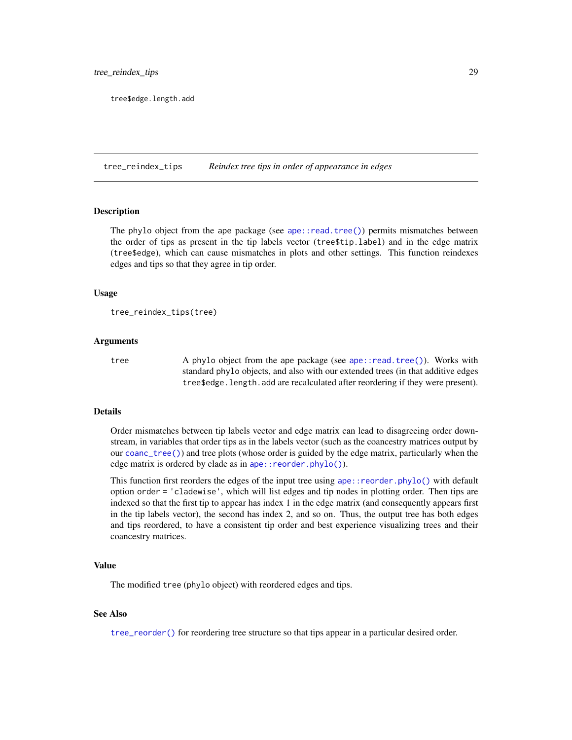<span id="page-28-0"></span>tree\$edge.length.add

<span id="page-28-1"></span>tree\_reindex\_tips *Reindex tree tips in order of appearance in edges*

#### Description

The phylo object from the ape package (see [ape::read.tree\(\)](#page-0-0)) permits mismatches between the order of tips as present in the tip labels vector (tree\$tip.label) and in the edge matrix (tree\$edge), which can cause mismatches in plots and other settings. This function reindexes edges and tips so that they agree in tip order.

### Usage

```
tree_reindex_tips(tree)
```
#### Arguments

tree A phylo object from the ape package (see [ape::read.tree\(\)](#page-0-0)). Works with standard phylo objects, and also with our extended trees (in that additive edges tree\$edge.length.add are recalculated after reordering if they were present).

#### Details

Order mismatches between tip labels vector and edge matrix can lead to disagreeing order downstream, in variables that order tips as in the labels vector (such as the coancestry matrices output by our [coanc\\_tree\(\)](#page-10-1)) and tree plots (whose order is guided by the edge matrix, particularly when the edge matrix is ordered by clade as in ape:: reorder.phylo()).

This function first reorders the edges of the input tree using  $ape$ : reorder.phylo() with default option order = 'cladewise', which will list edges and tip nodes in plotting order. Then tips are indexed so that the first tip to appear has index 1 in the edge matrix (and consequently appears first in the tip labels vector), the second has index 2, and so on. Thus, the output tree has both edges and tips reordered, to have a consistent tip order and best experience visualizing trees and their coancestry matrices.

# Value

The modified tree (phylo object) with reordered edges and tips.

#### See Also

[tree\\_reorder\(\)](#page-29-1) for reordering tree structure so that tips appear in a particular desired order.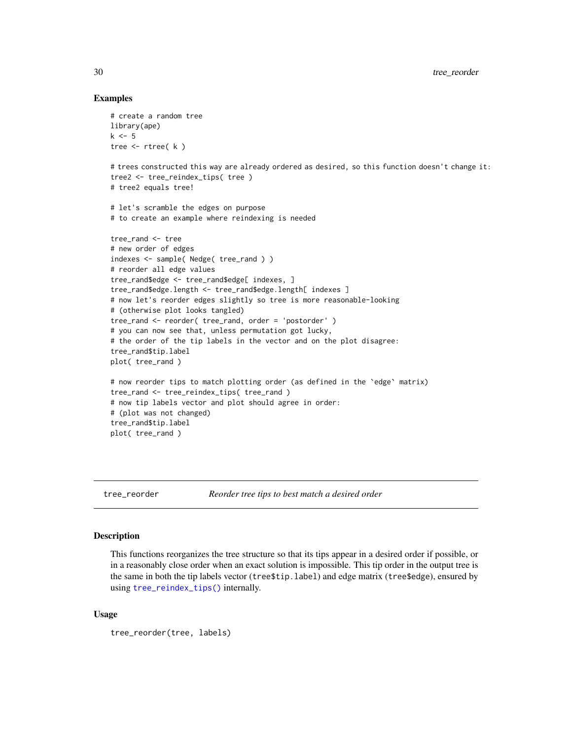# Examples

```
# create a random tree
library(ape)
k \leq -5tree <- rtree( k )
# trees constructed this way are already ordered as desired, so this function doesn't change it:
tree2 <- tree_reindex_tips( tree )
# tree2 equals tree!
# let's scramble the edges on purpose
# to create an example where reindexing is needed
tree_rand <- tree
# new order of edges
indexes <- sample( Nedge( tree_rand ) )
# reorder all edge values
tree_rand$edge <- tree_rand$edge[ indexes, ]
tree_rand$edge.length <- tree_rand$edge.length[ indexes ]
# now let's reorder edges slightly so tree is more reasonable-looking
# (otherwise plot looks tangled)
tree_rand <- reorder( tree_rand, order = 'postorder' )
# you can now see that, unless permutation got lucky,
# the order of the tip labels in the vector and on the plot disagree:
tree_rand$tip.label
plot( tree_rand )
# now reorder tips to match plotting order (as defined in the `edge` matrix)
tree_rand <- tree_reindex_tips( tree_rand )
# now tip labels vector and plot should agree in order:
# (plot was not changed)
tree_rand$tip.label
plot( tree_rand )
```
<span id="page-29-1"></span>tree\_reorder *Reorder tree tips to best match a desired order*

#### Description

This functions reorganizes the tree structure so that its tips appear in a desired order if possible, or in a reasonably close order when an exact solution is impossible. This tip order in the output tree is the same in both the tip labels vector (tree\$tip.label) and edge matrix (tree\$edge), ensured by using [tree\\_reindex\\_tips\(\)](#page-28-1) internally.

#### Usage

```
tree_reorder(tree, labels)
```
<span id="page-29-0"></span>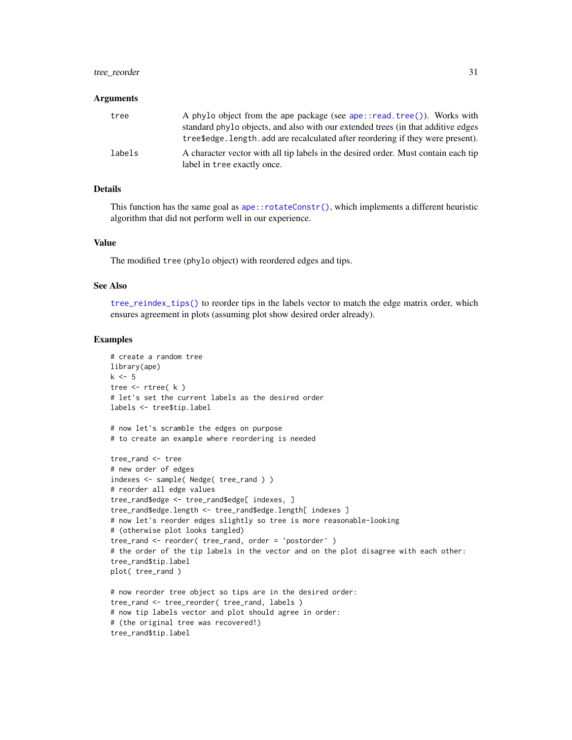# <span id="page-30-0"></span>tree\_reorder 31

#### Arguments

| tree   | A phylo object from the ape package (see ape::read.tree()). Works with<br>standard phylo objects, and also with our extended trees (in that additive edges<br>tree\$edge.length.add are recalculated after reordering if they were present). |
|--------|----------------------------------------------------------------------------------------------------------------------------------------------------------------------------------------------------------------------------------------------|
| labels | A character vector with all tip labels in the desired order. Must contain each tip<br>label in tree exactly once.                                                                                                                            |

# Details

This function has the same goal as [ape::rotateConstr\(\)](#page-0-0), which implements a different heuristic algorithm that did not perform well in our experience.

# Value

The modified tree (phylo object) with reordered edges and tips.

#### See Also

[tree\\_reindex\\_tips\(\)](#page-28-1) to reorder tips in the labels vector to match the edge matrix order, which ensures agreement in plots (assuming plot show desired order already).

```
# create a random tree
library(ape)
k \leq -5tree <- rtree( k )
# let's set the current labels as the desired order
labels <- tree$tip.label
# now let's scramble the edges on purpose
# to create an example where reordering is needed
tree_rand <- tree
# new order of edges
indexes <- sample( Nedge( tree_rand ) )
# reorder all edge values
tree_rand$edge <- tree_rand$edge[ indexes, ]
tree_rand$edge.length <- tree_rand$edge.length[ indexes ]
# now let's reorder edges slightly so tree is more reasonable-looking
# (otherwise plot looks tangled)
tree_rand <- reorder( tree_rand, order = 'postorder' )
# the order of the tip labels in the vector and on the plot disagree with each other:
tree_rand$tip.label
plot( tree_rand )
# now reorder tree object so tips are in the desired order:
tree_rand <- tree_reorder( tree_rand, labels )
# now tip labels vector and plot should agree in order:
# (the original tree was recovered!)
tree_rand$tip.label
```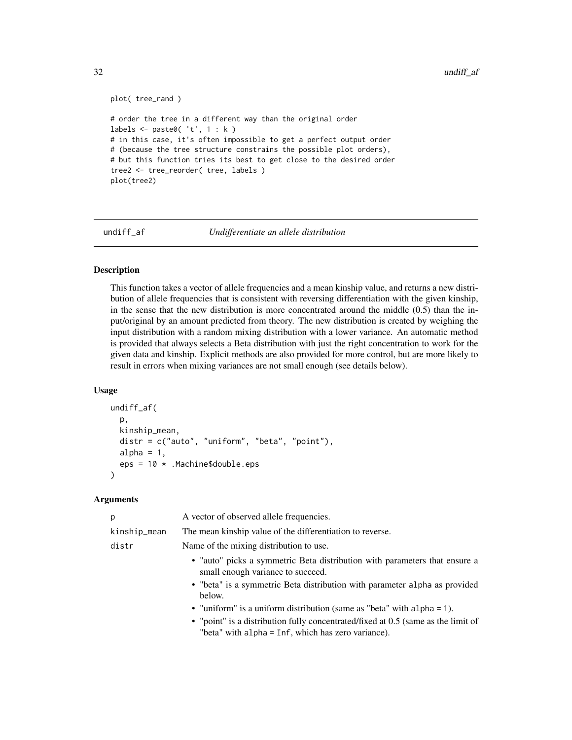```
plot( tree_rand )
# order the tree in a different way than the original order
labels \leq paste0( 't', 1 : k )
# in this case, it's often impossible to get a perfect output order
# (because the tree structure constrains the possible plot orders),
# but this function tries its best to get close to the desired order
tree2 <- tree_reorder( tree, labels )
plot(tree2)
```
undiff\_af *Undifferentiate an allele distribution*

# Description

This function takes a vector of allele frequencies and a mean kinship value, and returns a new distribution of allele frequencies that is consistent with reversing differentiation with the given kinship, in the sense that the new distribution is more concentrated around the middle (0.5) than the input/original by an amount predicted from theory. The new distribution is created by weighing the input distribution with a random mixing distribution with a lower variance. An automatic method is provided that always selects a Beta distribution with just the right concentration to work for the given data and kinship. Explicit methods are also provided for more control, but are more likely to result in errors when mixing variances are not small enough (see details below).

#### Usage

```
undiff_af(
 p,
 kinship_mean,
  distr = c("auto", "uniform", "beta", "point"),
  alpha = 1,
  eps = 10 *. Machine$double.eps
)
```
#### Arguments

| p            | A vector of observed allele frequencies.                                                                                                |
|--------------|-----------------------------------------------------------------------------------------------------------------------------------------|
| kinship_mean | The mean kinship value of the differentiation to reverse.                                                                               |
| distr        | Name of the mixing distribution to use.                                                                                                 |
|              | • "auto" picks a symmetric Beta distribution with parameters that ensure a<br>small enough variance to succeed.                         |
|              | • "beta" is a symmetric Beta distribution with parameter alpha as provided<br>below.                                                    |
|              | • "uniform" is a uniform distribution (same as "beta" with $alpha = 1$ ).                                                               |
|              | • "point" is a distribution fully concentrated/fixed at 0.5 (same as the limit of<br>"beta" with alpha = Inf, which has zero variance). |

<span id="page-31-0"></span>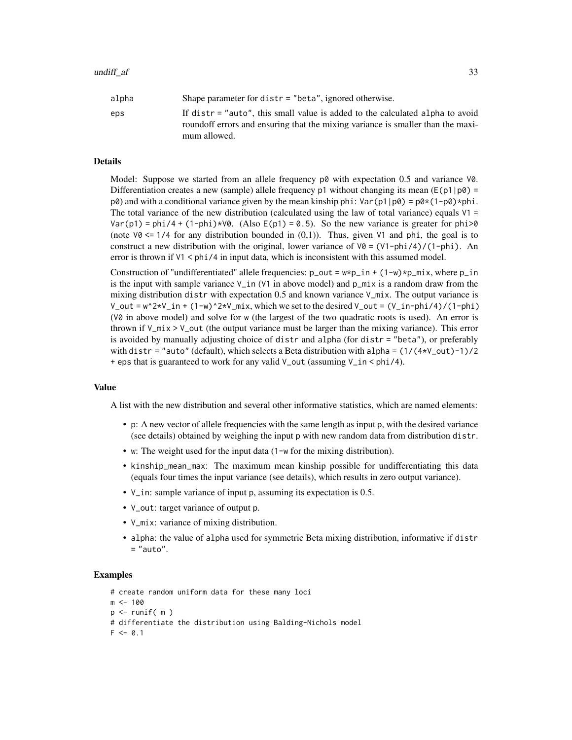| alpha | Shape parameter for $distr = "beta",$ ignored otherwise.                                                                                                         |
|-------|------------------------------------------------------------------------------------------------------------------------------------------------------------------|
| eps   | If distr = "auto", this small value is added to the calculated alpha to avoid<br>roundoff errors and ensuring that the mixing variance is smaller than the maxi- |
|       | mum allowed.                                                                                                                                                     |

#### Details

Model: Suppose we started from an allele frequency  $p\omega$  with expectation 0.5 and variance V0. Differentiation creates a new (sample) allele frequency p1 without changing its mean ( $E(p1|p0)$  =  $p(\theta)$  and with a conditional variance given by the mean kinship phi: Var(p1|p0) =  $p(\theta)(1-p(\theta))$  \*phi. The total variance of the new distribution (calculated using the law of total variance) equals  $V1 =$ Var(p1) = phi/4 + (1-phi) $\star$ V0. (Also E(p1) = 0.5). So the new variance is greater for phi $>0$ (note  $\sqrt{0}$  <= 1/4 for any distribution bounded in (0,1)). Thus, given  $\sqrt{1}$  and phi, the goal is to construct a new distribution with the original, lower variance of  $V0 = (V1-\phi h i)/((1-\phi h i)$ . An error is thrown if V1 < phi/4 in input data, which is inconsistent with this assumed model.

Construction of "undifferentiated" allele frequencies:  $p\_out = w * p\_in + (1-w) * p\_mix$ , where  $p\_in$ is the input with sample variance  $V_{\perp}$  in (V1 in above model) and  $p_{\perp}$  mix is a random draw from the mixing distribution distr with expectation 0.5 and known variance  $V_{\text{mix}}$ . The output variance is V\_out =  $w^2$ \*V\_in + (1-w)^2\*V\_mix, which we set to the desired V\_out = (V\_in-phi/4)/(1-phi) (V0 in above model) and solve for w (the largest of the two quadratic roots is used). An error is thrown if  $V_m$  is  $V_$ out (the output variance must be larger than the mixing variance). This error is avoided by manually adjusting choice of distr and alpha (for distr = "beta"), or preferably with distr = "auto" (default), which selects a Beta distribution with alpha =  $(1/(4*v_0ut)-1)/2$ + eps that is guaranteed to work for any valid V\_out (assuming V\_in < phi/4).

#### Value

A list with the new distribution and several other informative statistics, which are named elements:

- p: A new vector of allele frequencies with the same length as input p, with the desired variance (see details) obtained by weighing the input p with new random data from distribution distr.
- w: The weight used for the input data (1-w for the mixing distribution).
- kinship\_mean\_max: The maximum mean kinship possible for undifferentiating this data (equals four times the input variance (see details), which results in zero output variance).
- V\_in: sample variance of input p, assuming its expectation is 0.5.
- V\_out: target variance of output p.
- V\_mix: variance of mixing distribution.
- alpha: the value of alpha used for symmetric Beta mixing distribution, informative if distr = "auto".

```
# create random uniform data for these many loci
m < - 100p <- runif( m )
# differentiate the distribution using Balding-Nichols model
F < -0.1
```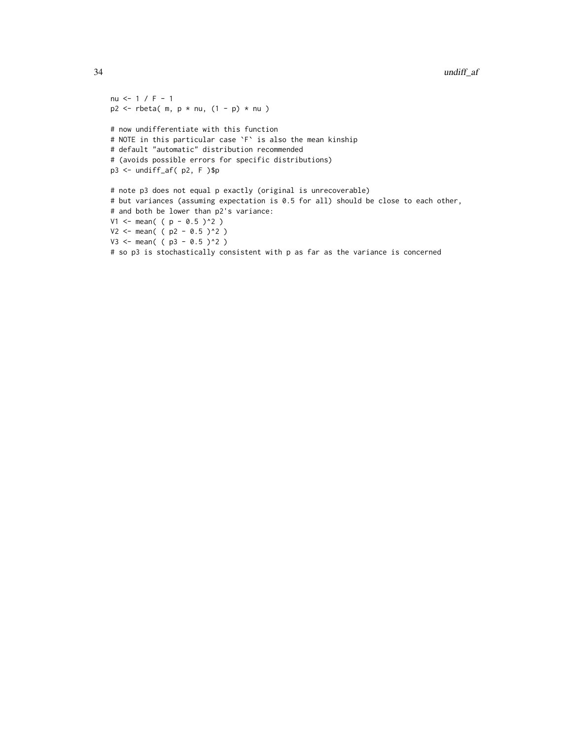```
nu <- 1 / F - 1
p2 \le - rbeta( m, p * nu, (1 - p) * nu)
# now undifferentiate with this function
# NOTE in this particular case `F` is also the mean kinship
# default "automatic" distribution recommended
# (avoids possible errors for specific distributions)
p3 <- undiff_af( p2, F )$p
# note p3 does not equal p exactly (original is unrecoverable)
# but variances (assuming expectation is 0.5 for all) should be close to each other,
# and both be lower than p2's variance:
V1 <- mean( ( p - 0.5 )^2 )
V2 \le - mean( ( p2 - 0.5 )^2 )
V3 <- mean( ( p3 - 0.5 )^2 )
# so p3 is stochastically consistent with p as far as the variance is concerned
```